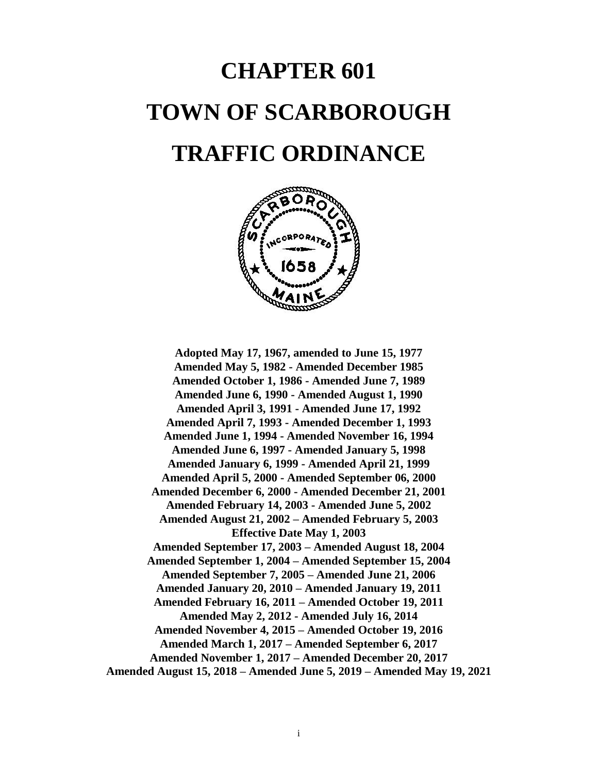# **CHAPTER 601 TOWN OF SCARBOROUGH TRAFFIC ORDINANCE**



**Adopted May 17, 1967, amended to June 15, 1977 Amended May 5, 1982 - Amended December 1985 Amended October 1, 1986 - Amended June 7, 1989 Amended June 6, 1990 - Amended August 1, 1990 Amended April 3, 1991 - Amended June 17, 1992 Amended April 7, 1993 - Amended December 1, 1993 Amended June 1, 1994 - Amended November 16, 1994 Amended June 6, 1997 - Amended January 5, 1998 Amended January 6, 1999 - Amended April 21, 1999 Amended April 5, 2000 - Amended September 06, 2000 Amended December 6, 2000 - Amended December 21, 2001 Amended February 14, 2003 - Amended June 5, 2002 Amended August 21, 2002 – Amended February 5, 2003 Effective Date May 1, 2003 Amended September 17, 2003 – Amended August 18, 2004 Amended September 1, 2004 – Amended September 15, 2004 Amended September 7, 2005 – Amended June 21, 2006 Amended January 20, 2010 – Amended January 19, 2011 Amended February 16, 2011 – Amended October 19, 2011 Amended May 2, 2012 - Amended July 16, 2014 Amended November 4, 2015 – Amended October 19, 2016 Amended March 1, 2017 – Amended September 6, 2017 Amended November 1, 2017 – Amended December 20, 2017 Amended August 15, 2018 – Amended June 5, 2019 – Amended May 19, 2021**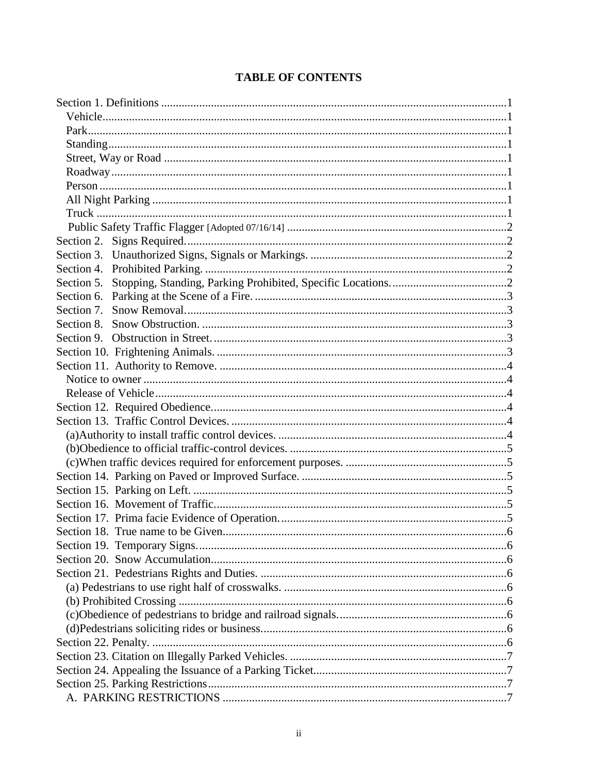## **TABLE OF CONTENTS**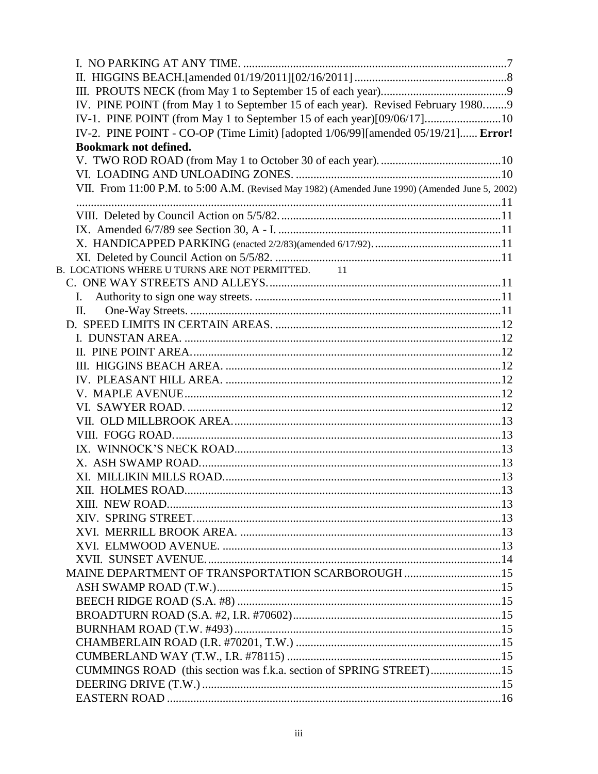| IV. PINE POINT (from May 1 to September 15 of each year). Revised February 19809                |  |
|-------------------------------------------------------------------------------------------------|--|
| IV-1. PINE POINT (from May 1 to September 15 of each year)[09/06/17]10                          |  |
| IV-2. PINE POINT - CO-OP (Time Limit) [adopted 1/06/99][amended 05/19/21] Error!                |  |
| <b>Bookmark not defined.</b>                                                                    |  |
|                                                                                                 |  |
|                                                                                                 |  |
| VII. From 11:00 P.M. to 5:00 A.M. (Revised May 1982) (Amended June 1990) (Amended June 5, 2002) |  |
|                                                                                                 |  |
|                                                                                                 |  |
|                                                                                                 |  |
|                                                                                                 |  |
|                                                                                                 |  |
| B. LOCATIONS WHERE U TURNS ARE NOT PERMITTED. 11                                                |  |
|                                                                                                 |  |
| Ι.                                                                                              |  |
| П.                                                                                              |  |
|                                                                                                 |  |
|                                                                                                 |  |
|                                                                                                 |  |
|                                                                                                 |  |
|                                                                                                 |  |
|                                                                                                 |  |
|                                                                                                 |  |
|                                                                                                 |  |
|                                                                                                 |  |
|                                                                                                 |  |
|                                                                                                 |  |
| <b>XII. HOLMES ROAD</b>                                                                         |  |
|                                                                                                 |  |
|                                                                                                 |  |
|                                                                                                 |  |
|                                                                                                 |  |
|                                                                                                 |  |
| MAINE DEPARTMENT OF TRANSPORTATION SCARBOROUGH 15                                               |  |
|                                                                                                 |  |
|                                                                                                 |  |
|                                                                                                 |  |
|                                                                                                 |  |
|                                                                                                 |  |
|                                                                                                 |  |
| CUMMINGS ROAD (this section was f.k.a. section of SPRING STREET)15                              |  |
|                                                                                                 |  |
|                                                                                                 |  |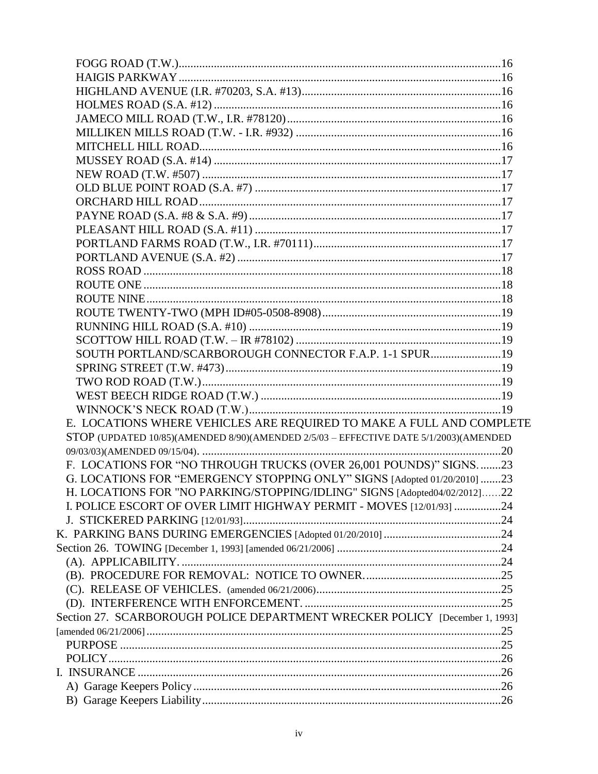| SOUTH PORTLAND/SCARBOROUGH CONNECTOR F.A.P. 1-1 SPUR 19                              |  |
|--------------------------------------------------------------------------------------|--|
|                                                                                      |  |
|                                                                                      |  |
|                                                                                      |  |
|                                                                                      |  |
| E. LOCATIONS WHERE VEHICLES ARE REQUIRED TO MAKE A FULL AND COMPLETE                 |  |
| STOP (UPDATED 10/85)(AMENDED 8/90)(AMENDED 2/5/03 - EFFECTIVE DATE 5/1/2003)(AMENDED |  |
|                                                                                      |  |
| F. LOCATIONS FOR "NO THROUGH TRUCKS (OVER 26,001 POUNDS)" SIGNS23                    |  |
| G. LOCATIONS FOR "EMERGENCY STOPPING ONLY" SIGNS [Adopted 01/20/2010] 23             |  |
| H. LOCATIONS FOR "NO PARKING/STOPPING/IDLING" SIGNS [Adopted04/02/2012]22            |  |
| I. POLICE ESCORT OF OVER LIMIT HIGHWAY PERMIT - MOVES [12/01/93] 24                  |  |
|                                                                                      |  |
|                                                                                      |  |
|                                                                                      |  |
|                                                                                      |  |
|                                                                                      |  |
|                                                                                      |  |
|                                                                                      |  |
| Section 27. SCARBOROUGH POLICE DEPARTMENT WRECKER POLICY [December 1, 1993]          |  |
|                                                                                      |  |
|                                                                                      |  |
|                                                                                      |  |
|                                                                                      |  |
|                                                                                      |  |
|                                                                                      |  |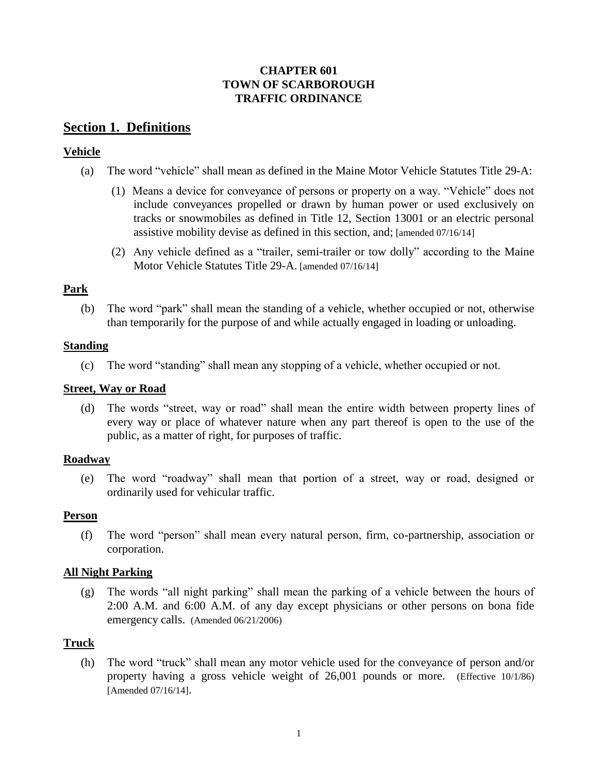## **CHAPTER 601 TOWN OF SCARBOROUGH TRAFFIC ORDINANCE**

## **Section 1. Definitions**

## <span id="page-5-0"></span>**Vehicle**

- (a) The word "vehicle" shall mean as defined in the Maine Motor Vehicle Statutes Title 29-A:
	- (1) Means a device for conveyance of persons or property on a way. "Vehicle" does not include conveyances propelled or drawn by human power or used exclusively on tracks or snowmobiles as defined in Title 12, Section 13001 or an electric personal assistive mobility devise as defined in this section, and; [amended 07/16/14]
	- (2) Any vehicle defined as a "trailer, semi-trailer or tow dolly" according to the Maine Motor Vehicle Statutes Title 29-A. [amended 07/16/14]

## <span id="page-5-1"></span>**Park**

<span id="page-5-2"></span>(b) The word "park" shall mean the standing of a vehicle, whether occupied or not, otherwise than temporarily for the purpose of and while actually engaged in loading or unloading.

## **Standing**

(c) The word "standing" shall mean any stopping of a vehicle, whether occupied or not.

## <span id="page-5-3"></span>**Street, Way or Road**

(d) The words "street, way or road" shall mean the entire width between property lines of every way or place of whatever nature when any part thereof is open to the use of the public, as a matter of right, for purposes of traffic.

## <span id="page-5-4"></span>**Roadway**

(e) The word "roadway" shall mean that portion of a street, way or road, designed or ordinarily used for vehicular traffic.

## <span id="page-5-5"></span>**Person**

(f) The word "person" shall mean every natural person, firm, co-partnership, association or corporation.

## <span id="page-5-6"></span>**All Night Parking**

(g) The words "all night parking" shall mean the parking of a vehicle between the hours of 2:00 A.M. and 6:00 A.M. of any day except physicians or other persons on bona fide emergency calls. (Amended 06/21/2006)

## <span id="page-5-7"></span>**Truck**

(h) The word "truck" shall mean any motor vehicle used for the conveyance of person and/or property having a gross vehicle weight of 26,001 pounds or more. (Effective 10/1/86) [Amended 07/16/14].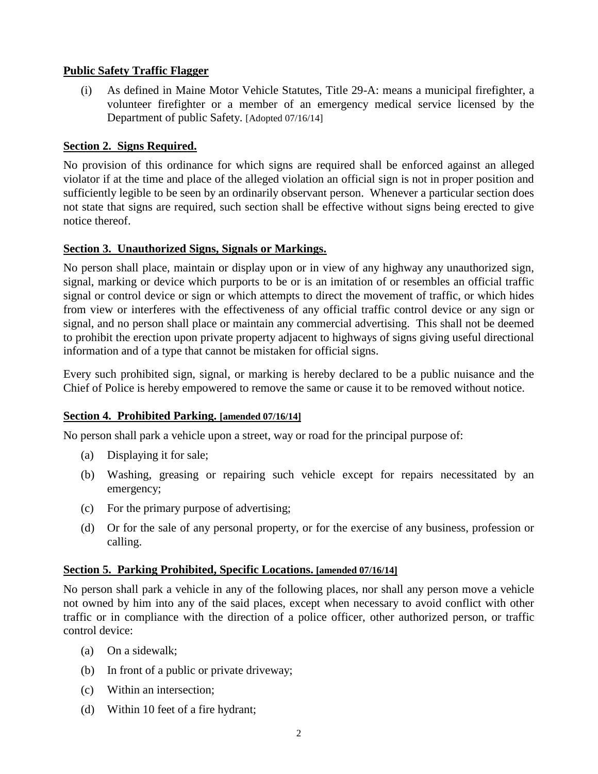#### **Public Safety Traffic Flagger**

(i) As defined in Maine Motor Vehicle Statutes, Title 29-A: means a municipal firefighter, a volunteer firefighter or a member of an emergency medical service licensed by the Department of public Safety. [Adopted 07/16/14]

## <span id="page-6-0"></span>**Section 2. Signs Required.**

No provision of this ordinance for which signs are required shall be enforced against an alleged violator if at the time and place of the alleged violation an official sign is not in proper position and sufficiently legible to be seen by an ordinarily observant person. Whenever a particular section does not state that signs are required, such section shall be effective without signs being erected to give notice thereof.

#### <span id="page-6-1"></span>**Section 3. Unauthorized Signs, Signals or Markings.**

No person shall place, maintain or display upon or in view of any highway any unauthorized sign, signal, marking or device which purports to be or is an imitation of or resembles an official traffic signal or control device or sign or which attempts to direct the movement of traffic, or which hides from view or interferes with the effectiveness of any official traffic control device or any sign or signal, and no person shall place or maintain any commercial advertising. This shall not be deemed to prohibit the erection upon private property adjacent to highways of signs giving useful directional information and of a type that cannot be mistaken for official signs.

Every such prohibited sign, signal, or marking is hereby declared to be a public nuisance and the Chief of Police is hereby empowered to remove the same or cause it to be removed without notice.

#### <span id="page-6-2"></span>**Section 4. Prohibited Parking. [amended 07/16/14]**

No person shall park a vehicle upon a street, way or road for the principal purpose of:

- (a) Displaying it for sale;
- (b) Washing, greasing or repairing such vehicle except for repairs necessitated by an emergency;
- (c) For the primary purpose of advertising;
- (d) Or for the sale of any personal property, or for the exercise of any business, profession or calling.

#### <span id="page-6-3"></span>**Section 5. Parking Prohibited, Specific Locations. [amended 07/16/14]**

No person shall park a vehicle in any of the following places, nor shall any person move a vehicle not owned by him into any of the said places, except when necessary to avoid conflict with other traffic or in compliance with the direction of a police officer, other authorized person, or traffic control device:

- (a) On a sidewalk;
- (b) In front of a public or private driveway;
- (c) Within an intersection;
- (d) Within 10 feet of a fire hydrant;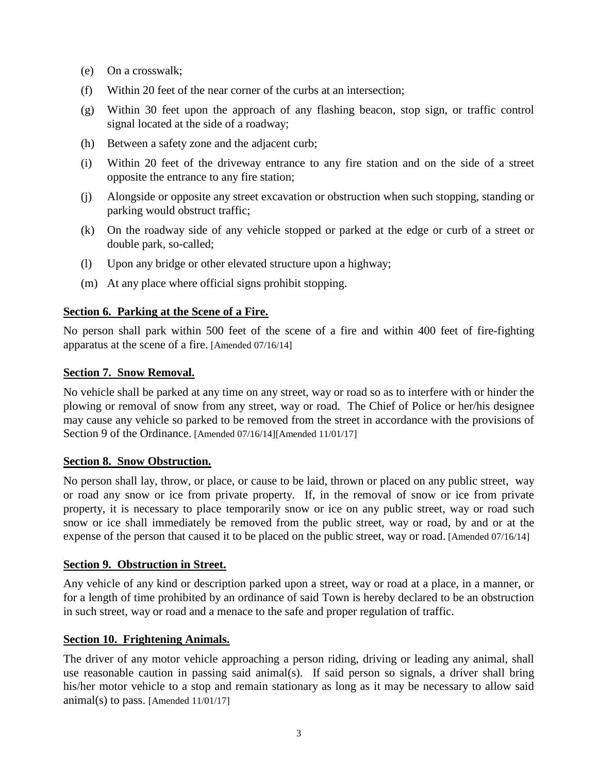- (e) On a crosswalk;
- (f) Within 20 feet of the near corner of the curbs at an intersection;
- (g) Within 30 feet upon the approach of any flashing beacon, stop sign, or traffic control signal located at the side of a roadway;
- (h) Between a safety zone and the adjacent curb;
- (i) Within 20 feet of the driveway entrance to any fire station and on the side of a street opposite the entrance to any fire station;
- (j) Alongside or opposite any street excavation or obstruction when such stopping, standing or parking would obstruct traffic;
- (k) On the roadway side of any vehicle stopped or parked at the edge or curb of a street or double park, so-called;
- (l) Upon any bridge or other elevated structure upon a highway;
- (m) At any place where official signs prohibit stopping.

### <span id="page-7-0"></span>**Section 6. Parking at the Scene of a Fire.**

No person shall park within 500 feet of the scene of a fire and within 400 feet of fire-fighting apparatus at the scene of a fire. [Amended 07/16/14]

### <span id="page-7-1"></span>**Section 7. Snow Removal.**

No vehicle shall be parked at any time on any street, way or road so as to interfere with or hinder the plowing or removal of snow from any street, way or road. The Chief of Police or her/his designee may cause any vehicle so parked to be removed from the street in accordance with the provisions of Section 9 of the Ordinance. [Amended 07/16/14][Amended 11/01/17]

#### <span id="page-7-2"></span>**Section 8. Snow Obstruction.**

No person shall lay, throw, or place, or cause to be laid, thrown or placed on any public street, way or road any snow or ice from private property. If, in the removal of snow or ice from private property, it is necessary to place temporarily snow or ice on any public street, way or road such snow or ice shall immediately be removed from the public street, way or road, by and or at the expense of the person that caused it to be placed on the public street, way or road. [Amended 07/16/14]

#### <span id="page-7-3"></span>**Section 9. Obstruction in Street.**

Any vehicle of any kind or description parked upon a street, way or road at a place, in a manner, or for a length of time prohibited by an ordinance of said Town is hereby declared to be an obstruction in such street, way or road and a menace to the safe and proper regulation of traffic.

## <span id="page-7-4"></span>**Section 10. Frightening Animals.**

The driver of any motor vehicle approaching a person riding, driving or leading any animal, shall use reasonable caution in passing said animal(s). If said person so signals, a driver shall bring his/her motor vehicle to a stop and remain stationary as long as it may be necessary to allow said animal(s) to pass. [Amended  $11/01/17$ ]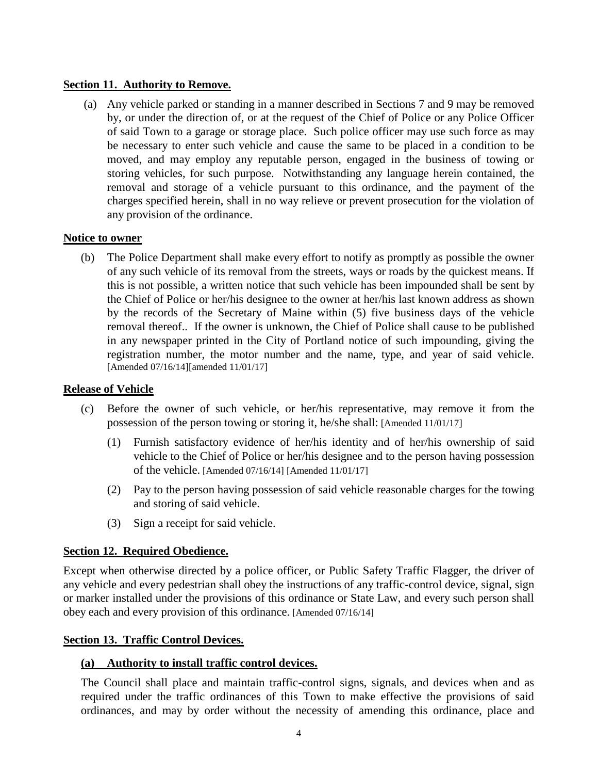#### <span id="page-8-0"></span>**Section 11. Authority to Remove.**

(a) Any vehicle parked or standing in a manner described in Sections 7 and 9 may be removed by, or under the direction of, or at the request of the Chief of Police or any Police Officer of said Town to a garage or storage place. Such police officer may use such force as may be necessary to enter such vehicle and cause the same to be placed in a condition to be moved, and may employ any reputable person, engaged in the business of towing or storing vehicles, for such purpose. Notwithstanding any language herein contained, the removal and storage of a vehicle pursuant to this ordinance, and the payment of the charges specified herein, shall in no way relieve or prevent prosecution for the violation of any provision of the ordinance.

#### <span id="page-8-1"></span>**Notice to owner**

(b) The Police Department shall make every effort to notify as promptly as possible the owner of any such vehicle of its removal from the streets, ways or roads by the quickest means. If this is not possible, a written notice that such vehicle has been impounded shall be sent by the Chief of Police or her/his designee to the owner at her/his last known address as shown by the records of the Secretary of Maine within (5) five business days of the vehicle removal thereof.. If the owner is unknown, the Chief of Police shall cause to be published in any newspaper printed in the City of Portland notice of such impounding, giving the registration number, the motor number and the name, type, and year of said vehicle. [Amended 07/16/14][amended 11/01/17]

#### <span id="page-8-2"></span>**Release of Vehicle**

- (c) Before the owner of such vehicle, or her/his representative, may remove it from the possession of the person towing or storing it, he/she shall: [Amended 11/01/17]
	- (1) Furnish satisfactory evidence of her/his identity and of her/his ownership of said vehicle to the Chief of Police or her/his designee and to the person having possession of the vehicle. [Amended 07/16/14] [Amended 11/01/17]
	- (2) Pay to the person having possession of said vehicle reasonable charges for the towing and storing of said vehicle.
	- (3) Sign a receipt for said vehicle.

#### <span id="page-8-3"></span>**Section 12. Required Obedience.**

Except when otherwise directed by a police officer, or Public Safety Traffic Flagger, the driver of any vehicle and every pedestrian shall obey the instructions of any traffic-control device, signal, sign or marker installed under the provisions of this ordinance or State Law, and every such person shall obey each and every provision of this ordinance. [Amended 07/16/14]

#### <span id="page-8-4"></span>**Section 13. Traffic Control Devices.**

#### <span id="page-8-5"></span>**(a) Authority to install traffic control devices.**

The Council shall place and maintain traffic-control signs, signals, and devices when and as required under the traffic ordinances of this Town to make effective the provisions of said ordinances, and may by order without the necessity of amending this ordinance, place and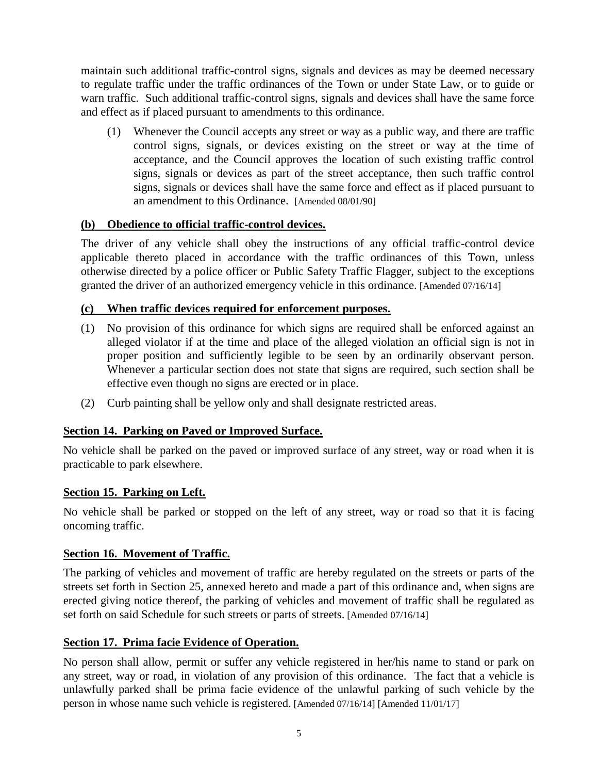maintain such additional traffic-control signs, signals and devices as may be deemed necessary to regulate traffic under the traffic ordinances of the Town or under State Law, or to guide or warn traffic. Such additional traffic-control signs, signals and devices shall have the same force and effect as if placed pursuant to amendments to this ordinance.

(1) Whenever the Council accepts any street or way as a public way, and there are traffic control signs, signals, or devices existing on the street or way at the time of acceptance, and the Council approves the location of such existing traffic control signs, signals or devices as part of the street acceptance, then such traffic control signs, signals or devices shall have the same force and effect as if placed pursuant to an amendment to this Ordinance. [Amended 08/01/90]

## <span id="page-9-0"></span>**(b) Obedience to official traffic-control devices.**

The driver of any vehicle shall obey the instructions of any official traffic-control device applicable thereto placed in accordance with the traffic ordinances of this Town, unless otherwise directed by a police officer or Public Safety Traffic Flagger, subject to the exceptions granted the driver of an authorized emergency vehicle in this ordinance. [Amended 07/16/14]

## <span id="page-9-1"></span>**(c) When traffic devices required for enforcement purposes.**

- (1) No provision of this ordinance for which signs are required shall be enforced against an alleged violator if at the time and place of the alleged violation an official sign is not in proper position and sufficiently legible to be seen by an ordinarily observant person. Whenever a particular section does not state that signs are required, such section shall be effective even though no signs are erected or in place.
- (2) Curb painting shall be yellow only and shall designate restricted areas.

## <span id="page-9-2"></span>**Section 14. Parking on Paved or Improved Surface.**

No vehicle shall be parked on the paved or improved surface of any street, way or road when it is practicable to park elsewhere.

## <span id="page-9-3"></span>**Section 15. Parking on Left.**

No vehicle shall be parked or stopped on the left of any street, way or road so that it is facing oncoming traffic.

## <span id="page-9-4"></span>**Section 16. Movement of Traffic.**

The parking of vehicles and movement of traffic are hereby regulated on the streets or parts of the streets set forth in Section 25, annexed hereto and made a part of this ordinance and, when signs are erected giving notice thereof, the parking of vehicles and movement of traffic shall be regulated as set forth on said Schedule for such streets or parts of streets. [Amended 07/16/14]

## <span id="page-9-5"></span>**Section 17. Prima facie Evidence of Operation.**

No person shall allow, permit or suffer any vehicle registered in her/his name to stand or park on any street, way or road, in violation of any provision of this ordinance. The fact that a vehicle is unlawfully parked shall be prima facie evidence of the unlawful parking of such vehicle by the person in whose name such vehicle is registered. [Amended 07/16/14] [Amended 11/01/17]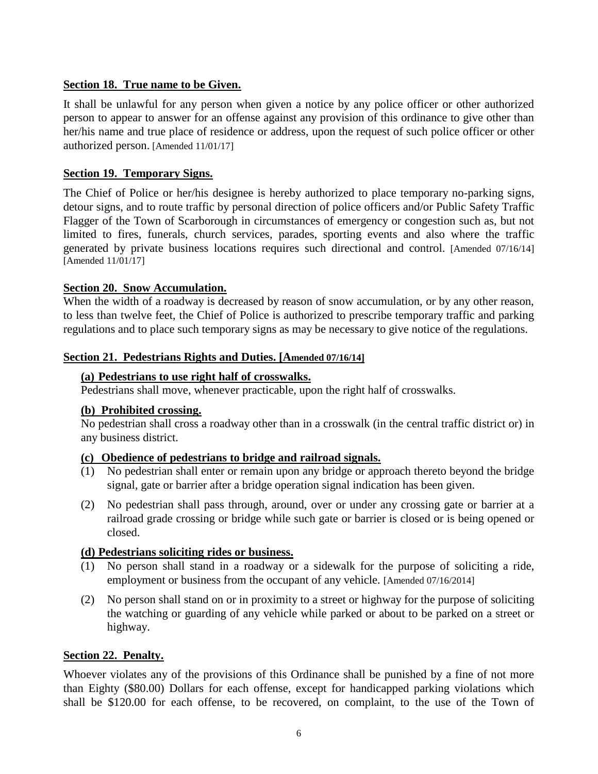## <span id="page-10-0"></span>**Section 18. True name to be Given.**

It shall be unlawful for any person when given a notice by any police officer or other authorized person to appear to answer for an offense against any provision of this ordinance to give other than her/his name and true place of residence or address, upon the request of such police officer or other authorized person. [Amended 11/01/17]

#### <span id="page-10-1"></span>**Section 19. Temporary Signs.**

The Chief of Police or her/his designee is hereby authorized to place temporary no-parking signs, detour signs, and to route traffic by personal direction of police officers and/or Public Safety Traffic Flagger of the Town of Scarborough in circumstances of emergency or congestion such as, but not limited to fires, funerals, church services, parades, sporting events and also where the traffic generated by private business locations requires such directional and control. [Amended 07/16/14] [Amended 11/01/17]

### <span id="page-10-2"></span>**Section 20. Snow Accumulation.**

When the width of a roadway is decreased by reason of snow accumulation, or by any other reason, to less than twelve feet, the Chief of Police is authorized to prescribe temporary traffic and parking regulations and to place such temporary signs as may be necessary to give notice of the regulations.

### <span id="page-10-4"></span><span id="page-10-3"></span>**Section 21. Pedestrians Rights and Duties. [Amended 07/16/14]**

### **(a) Pedestrians to use right half of crosswalks.**

Pedestrians shall move, whenever practicable, upon the right half of crosswalks.

#### **(b) Prohibited crossing.**

No pedestrian shall cross a roadway other than in a crosswalk (in the central traffic district or) in any business district.

## <span id="page-10-5"></span>**(c) Obedience of pedestrians to bridge and railroad signals.**

- (1) No pedestrian shall enter or remain upon any bridge or approach thereto beyond the bridge signal, gate or barrier after a bridge operation signal indication has been given.
- (2) No pedestrian shall pass through, around, over or under any crossing gate or barrier at a railroad grade crossing or bridge while such gate or barrier is closed or is being opened or closed.

## <span id="page-10-6"></span>**(d) Pedestrians soliciting rides or business.**

- (1) No person shall stand in a roadway or a sidewalk for the purpose of soliciting a ride, employment or business from the occupant of any vehicle. [Amended 07/16/2014]
- (2) No person shall stand on or in proximity to a street or highway for the purpose of soliciting the watching or guarding of any vehicle while parked or about to be parked on a street or highway.

#### <span id="page-10-7"></span>**Section 22. Penalty.**

Whoever violates any of the provisions of this Ordinance shall be punished by a fine of not more than Eighty (\$80.00) Dollars for each offense, except for handicapped parking violations which shall be \$120.00 for each offense, to be recovered, on complaint, to the use of the Town of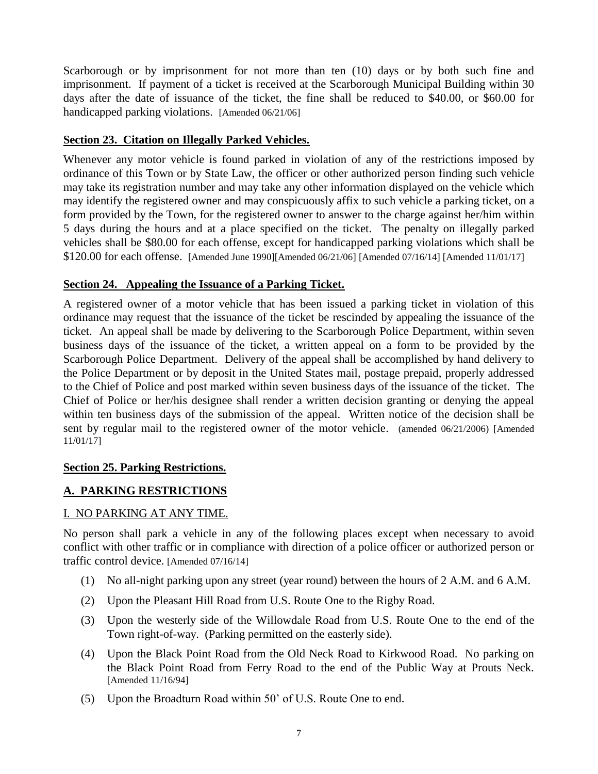Scarborough or by imprisonment for not more than ten (10) days or by both such fine and imprisonment. If payment of a ticket is received at the Scarborough Municipal Building within 30 days after the date of issuance of the ticket, the fine shall be reduced to \$40.00, or \$60.00 for handicapped parking violations. [Amended 06/21/06]

## <span id="page-11-0"></span>**Section 23. Citation on Illegally Parked Vehicles.**

Whenever any motor vehicle is found parked in violation of any of the restrictions imposed by ordinance of this Town or by State Law, the officer or other authorized person finding such vehicle may take its registration number and may take any other information displayed on the vehicle which may identify the registered owner and may conspicuously affix to such vehicle a parking ticket, on a form provided by the Town, for the registered owner to answer to the charge against her/him within 5 days during the hours and at a place specified on the ticket. The penalty on illegally parked vehicles shall be \$80.00 for each offense, except for handicapped parking violations which shall be \$120.00 for each offense. [Amended June 1990][Amended 06/21/06] [Amended 07/16/14] [Amended 11/01/17]

## <span id="page-11-1"></span>**Section 24. Appealing the Issuance of a Parking Ticket.**

A registered owner of a motor vehicle that has been issued a parking ticket in violation of this ordinance may request that the issuance of the ticket be rescinded by appealing the issuance of the ticket. An appeal shall be made by delivering to the Scarborough Police Department, within seven business days of the issuance of the ticket, a written appeal on a form to be provided by the Scarborough Police Department. Delivery of the appeal shall be accomplished by hand delivery to the Police Department or by deposit in the United States mail, postage prepaid, properly addressed to the Chief of Police and post marked within seven business days of the issuance of the ticket. The Chief of Police or her/his designee shall render a written decision granting or denying the appeal within ten business days of the submission of the appeal. Written notice of the decision shall be sent by regular mail to the registered owner of the motor vehicle. (amended 06/21/2006) [Amended 11/01/17]

## <span id="page-11-2"></span>**Section 25. Parking Restrictions.**

## <span id="page-11-3"></span>**A. PARKING RESTRICTIONS**

## <span id="page-11-4"></span>I. NO PARKING AT ANY TIME.

No person shall park a vehicle in any of the following places except when necessary to avoid conflict with other traffic or in compliance with direction of a police officer or authorized person or traffic control device. [Amended 07/16/14]

- (1) No all-night parking upon any street (year round) between the hours of 2 A.M. and 6 A.M.
- (2) Upon the Pleasant Hill Road from U.S. Route One to the Rigby Road.
- (3) Upon the westerly side of the Willowdale Road from U.S. Route One to the end of the Town right-of-way. (Parking permitted on the easterly side).
- (4) Upon the Black Point Road from the Old Neck Road to Kirkwood Road. No parking on the Black Point Road from Ferry Road to the end of the Public Way at Prouts Neck. [Amended 11/16/94]
- (5) Upon the Broadturn Road within 50' of U.S. Route One to end.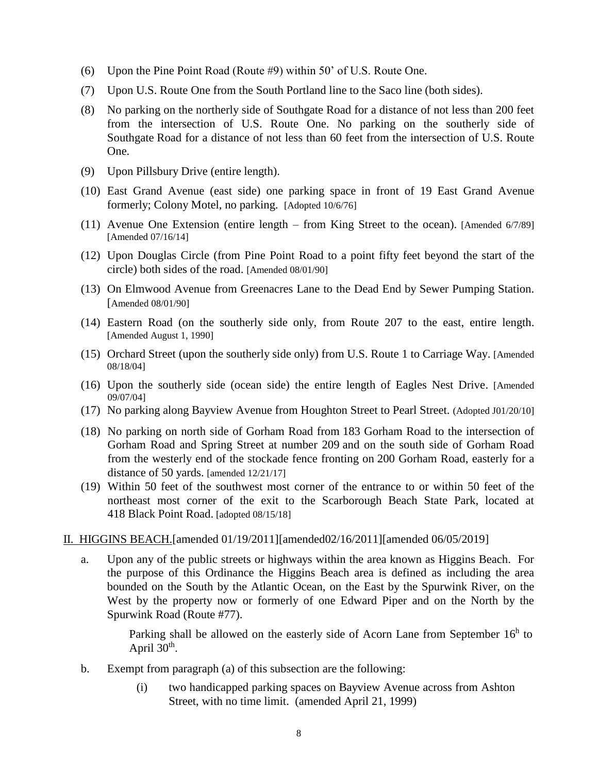- (6) Upon the Pine Point Road (Route #9) within 50' of U.S. Route One.
- (7) Upon U.S. Route One from the South Portland line to the Saco line (both sides).
- (8) No parking on the northerly side of Southgate Road for a distance of not less than 200 feet from the intersection of U.S. Route One. No parking on the southerly side of Southgate Road for a distance of not less than 60 feet from the intersection of U.S. Route One.
- (9) Upon Pillsbury Drive (entire length).
- (10) East Grand Avenue (east side) one parking space in front of 19 East Grand Avenue formerly; Colony Motel, no parking. [Adopted 10/6/76]
- (11) Avenue One Extension (entire length from King Street to the ocean). [Amended 6/7/89] [Amended 07/16/14]
- (12) Upon Douglas Circle (from Pine Point Road to a point fifty feet beyond the start of the circle) both sides of the road. [Amended 08/01/90]
- (13) On Elmwood Avenue from Greenacres Lane to the Dead End by Sewer Pumping Station. [Amended 08/01/90]
- (14) Eastern Road (on the southerly side only, from Route 207 to the east, entire length. [Amended August 1, 1990]
- (15) Orchard Street (upon the southerly side only) from U.S. Route 1 to Carriage Way. [Amended 08/18/04]
- (16) Upon the southerly side (ocean side) the entire length of Eagles Nest Drive. [Amended 09/07/04]
- (17) No parking along Bayview Avenue from Houghton Street to Pearl Street. (Adopted J01/20/10]
- (18) No parking on north side of Gorham Road from 183 Gorham Road to the intersection of Gorham Road and Spring Street at number 209 and on the south side of Gorham Road from the westerly end of the stockade fence fronting on [200 Gorham Road,](https://maps.google.com/?q=188+Gorham+Road&entry=gmail&source=g) easterly for a distance of 50 yards. [amended 12/21/17]
- (19) Within 50 feet of the southwest most corner of the entrance to or within 50 feet of the northeast most corner of the exit to the Scarborough Beach State Park, located at 418 Black Point Road. [adopted 08/15/18]
- <span id="page-12-0"></span>II. HIGGINS BEACH.[amended 01/19/2011][amended02/16/2011][amended 06/05/2019]
	- a. Upon any of the public streets or highways within the area known as Higgins Beach. For the purpose of this Ordinance the Higgins Beach area is defined as including the area bounded on the South by the Atlantic Ocean, on the East by the Spurwink River, on the West by the property now or formerly of one Edward Piper and on the North by the Spurwink Road (Route #77).

Parking shall be allowed on the easterly side of Acorn Lane from September 16<sup>h</sup> to April  $30<sup>th</sup>$ .

- b. Exempt from paragraph (a) of this subsection are the following:
	- (i) two handicapped parking spaces on Bayview Avenue across from Ashton Street, with no time limit. (amended April 21, 1999)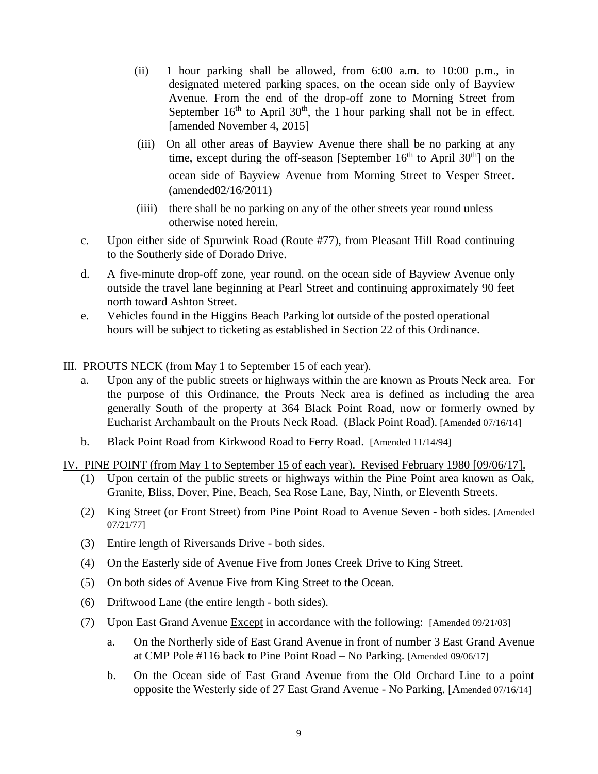- (ii) 1 hour parking shall be allowed, from 6:00 a.m. to 10:00 p.m., in designated metered parking spaces, on the ocean side only of Bayview Avenue. From the end of the drop-off zone to Morning Street from September  $16<sup>th</sup>$  to April  $30<sup>th</sup>$ , the 1 hour parking shall not be in effect. [amended November 4, 2015]
- (iii) On all other areas of Bayview Avenue there shall be no parking at any time, except during the off-season [September  $16<sup>th</sup>$  to April 30<sup>th</sup>] on the ocean side of Bayview Avenue from Morning Street to Vesper Street. (amended02/16/2011)
- (iiii) there shall be no parking on any of the other streets year round unless otherwise noted herein.
- c. Upon either side of Spurwink Road (Route #77), from Pleasant Hill Road continuing to the Southerly side of Dorado Drive.
- d. A five-minute drop-off zone, year round. on the ocean side of Bayview Avenue only outside the travel lane beginning at Pearl Street and continuing approximately 90 feet north toward Ashton Street.
- e. Vehicles found in the Higgins Beach Parking lot outside of the posted operational hours will be subject to ticketing as established in Section 22 of this Ordinance.
- <span id="page-13-0"></span>III. PROUTS NECK (from May 1 to September 15 of each year).
	- a. Upon any of the public streets or highways within the are known as Prouts Neck area. For the purpose of this Ordinance, the Prouts Neck area is defined as including the area generally South of the property at 364 Black Point Road, now or formerly owned by Eucharist Archambault on the Prouts Neck Road. (Black Point Road). [Amended 07/16/14]
	- b. Black Point Road from Kirkwood Road to Ferry Road. [Amended 11/14/94]
- <span id="page-13-1"></span>IV. PINE POINT (from May 1 to September 15 of each year). Revised February 1980 [09/06/17].
	- (1) Upon certain of the public streets or highways within the Pine Point area known as Oak, Granite, Bliss, Dover, Pine, Beach, Sea Rose Lane, Bay, Ninth, or Eleventh Streets.
	- (2) King Street (or Front Street) from Pine Point Road to Avenue Seven both sides. [Amended 07/21/77]
	- (3) Entire length of Riversands Drive both sides.
	- (4) On the Easterly side of Avenue Five from Jones Creek Drive to King Street.
	- (5) On both sides of Avenue Five from King Street to the Ocean.
	- (6) Driftwood Lane (the entire length both sides).
	- (7) Upon East Grand Avenue  $\frac{Except}{except}$  in accordance with the following: [Amended 09/21/03]
		- a. On the Northerly side of East Grand Avenue in front of number 3 East Grand Avenue at CMP Pole #116 back to Pine Point Road – No Parking. [Amended 09/06/17]
		- b. On the Ocean side of East Grand Avenue from the Old Orchard Line to a point opposite the Westerly side of 27 East Grand Avenue - No Parking. [Amended 07/16/14]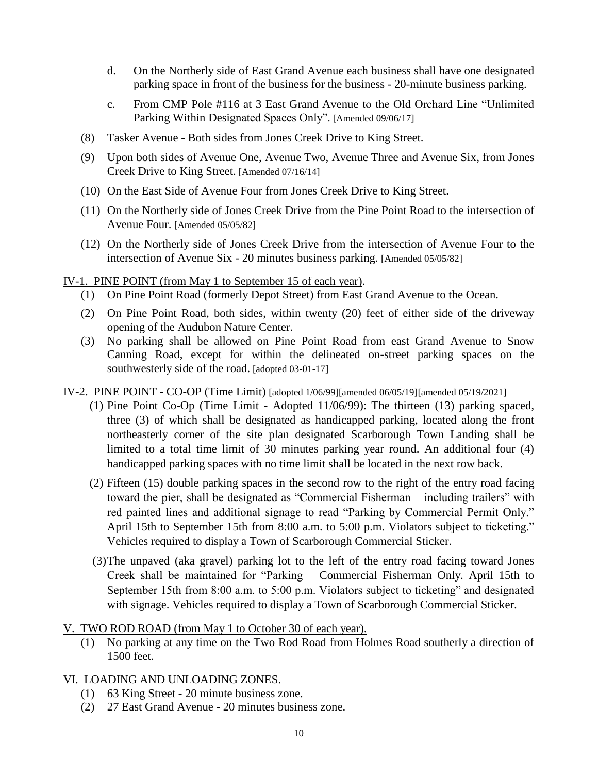- d. On the Northerly side of East Grand Avenue each business shall have one designated parking space in front of the business for the business - 20-minute business parking.
- c. From CMP Pole #116 at 3 East Grand Avenue to the Old Orchard Line "Unlimited Parking Within Designated Spaces Only". [Amended 09/06/17]
- (8) Tasker Avenue Both sides from Jones Creek Drive to King Street.
- (9) Upon both sides of Avenue One, Avenue Two, Avenue Three and Avenue Six, from Jones Creek Drive to King Street. [Amended 07/16/14]
- (10) On the East Side of Avenue Four from Jones Creek Drive to King Street.
- (11) On the Northerly side of Jones Creek Drive from the Pine Point Road to the intersection of Avenue Four. [Amended 05/05/82]
- (12) On the Northerly side of Jones Creek Drive from the intersection of Avenue Four to the intersection of Avenue Six - 20 minutes business parking. [Amended 05/05/82]

<span id="page-14-0"></span>IV-1. PINE POINT (from May 1 to September 15 of each year).

- (1) On Pine Point Road (formerly Depot Street) from East Grand Avenue to the Ocean.
- (2) On Pine Point Road, both sides, within twenty (20) feet of either side of the driveway opening of the Audubon Nature Center.
- (3) No parking shall be allowed on Pine Point Road from east Grand Avenue to Snow Canning Road, except for within the delineated on-street parking spaces on the southwesterly side of the road. [adopted 03-01-17]

IV-2. PINE POINT - CO-OP (Time Limit) [adopted 1/06/99][amended 06/05/19][amended 05/19/2021]

- (1) Pine Point Co-Op (Time Limit Adopted 11/06/99): The thirteen (13) parking spaced, three (3) of which shall be designated as handicapped parking, located along the front northeasterly corner of the site plan designated Scarborough Town Landing shall be limited to a total time limit of 30 minutes parking year round. An additional four (4) handicapped parking spaces with no time limit shall be located in the next row back.
- (2) Fifteen (15) double parking spaces in the second row to the right of the entry road facing toward the pier, shall be designated as "Commercial Fisherman – including trailers" with red painted lines and additional signage to read "Parking by Commercial Permit Only." April 15th to September 15th from 8:00 a.m. to 5:00 p.m. Violators subject to ticketing." Vehicles required to display a Town of Scarborough Commercial Sticker.
- (3)The unpaved (aka gravel) parking lot to the left of the entry road facing toward Jones Creek shall be maintained for "Parking – Commercial Fisherman Only. April 15th to September 15th from 8:00 a.m. to 5:00 p.m. Violators subject to ticketing" and designated with signage. Vehicles required to display a Town of Scarborough Commercial Sticker.

## <span id="page-14-1"></span>V. TWO ROD ROAD (from May 1 to October 30 of each year).

(1) No parking at any time on the Two Rod Road from Holmes Road southerly a direction of 1500 feet.

## <span id="page-14-2"></span>VI. LOADING AND UNLOADING ZONES.

- (1) 63 King Street 20 minute business zone.
- (2) 27 East Grand Avenue 20 minutes business zone.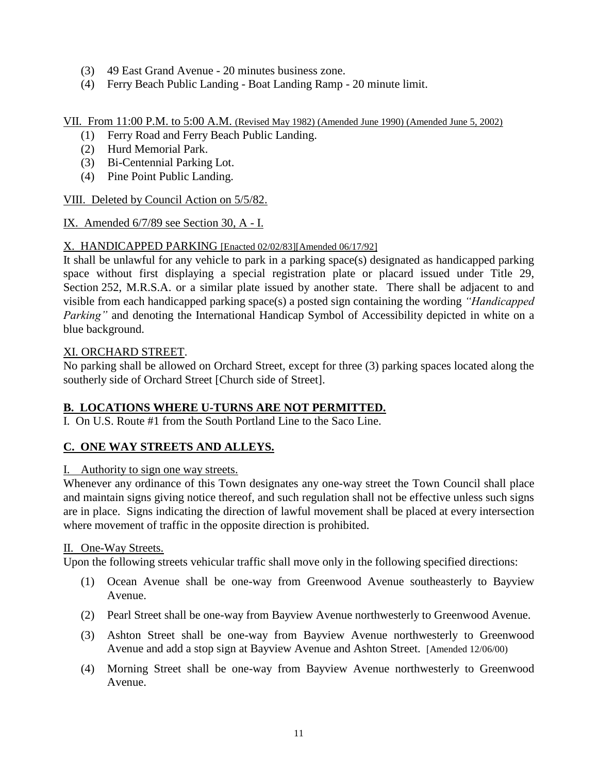- (3) 49 East Grand Avenue 20 minutes business zone.
- (4) Ferry Beach Public Landing Boat Landing Ramp 20 minute limit.

### <span id="page-15-0"></span>VII. From 11:00 P.M. to 5:00 A.M. (Revised May 1982) (Amended June 1990) (Amended June 5, 2002)

- (1) Ferry Road and Ferry Beach Public Landing.
- (2) Hurd Memorial Park.
- (3) Bi-Centennial Parking Lot.
- (4) Pine Point Public Landing.

<span id="page-15-1"></span>VIII. Deleted by Council Action on 5/5/82.

<span id="page-15-2"></span>IX. Amended 6/7/89 see Section 30, A - I.

## <span id="page-15-3"></span>X. HANDICAPPED PARKING [Enacted 02/02/83][Amended 06/17/92]

It shall be unlawful for any vehicle to park in a parking space(s) designated as handicapped parking space without first displaying a special registration plate or placard issued under Title 29, Section 252, M.R.S.A. or a similar plate issued by another state. There shall be adjacent to and visible from each handicapped parking space(s) a posted sign containing the wording *"Handicapped Parking"* and denoting the International Handicap Symbol of Accessibility depicted in white on a blue background.

### XI. ORCHARD STREET.

No parking shall be allowed on Orchard Street, except for three (3) parking spaces located along the southerly side of Orchard Street [Church side of Street].

## <span id="page-15-4"></span>**B. LOCATIONS WHERE U-TURNS ARE NOT PERMITTED.**

I.On U.S. Route #1 from the South Portland Line to the Saco Line.

## <span id="page-15-5"></span>**C. ONE WAY STREETS AND ALLEYS.**

## <span id="page-15-6"></span>I. Authority to sign one way streets.

Whenever any ordinance of this Town designates any one-way street the Town Council shall place and maintain signs giving notice thereof, and such regulation shall not be effective unless such signs are in place. Signs indicating the direction of lawful movement shall be placed at every intersection where movement of traffic in the opposite direction is prohibited.

## <span id="page-15-7"></span>II. One-Way Streets.

Upon the following streets vehicular traffic shall move only in the following specified directions:

- (1) Ocean Avenue shall be one-way from Greenwood Avenue southeasterly to Bayview Avenue.
- (2) Pearl Street shall be one-way from Bayview Avenue northwesterly to Greenwood Avenue.
- (3) Ashton Street shall be one-way from Bayview Avenue northwesterly to Greenwood Avenue and add a stop sign at Bayview Avenue and Ashton Street. [Amended 12/06/00)
- (4) Morning Street shall be one-way from Bayview Avenue northwesterly to Greenwood Avenue.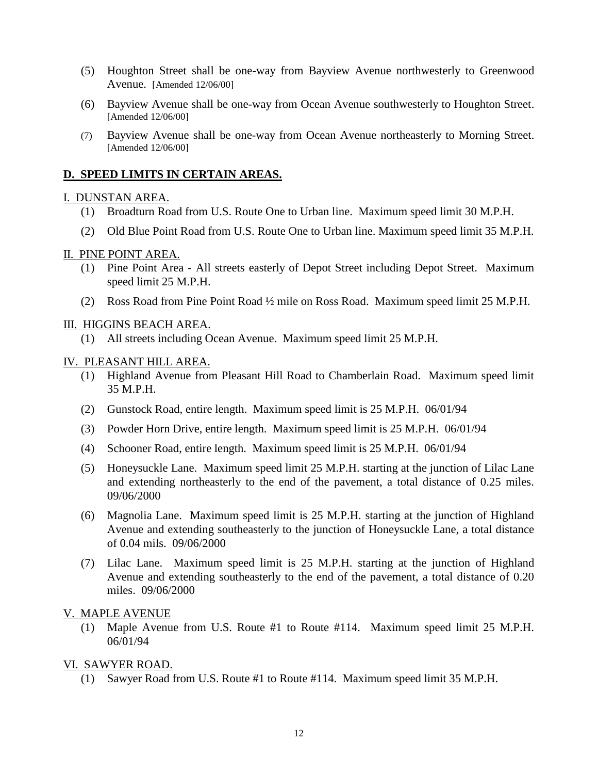- (5) Houghton Street shall be one-way from Bayview Avenue northwesterly to Greenwood Avenue. [Amended 12/06/00]
- (6) Bayview Avenue shall be one-way from Ocean Avenue southwesterly to Houghton Street. [Amended 12/06/00]
- (7) Bayview Avenue shall be one-way from Ocean Avenue northeasterly to Morning Street. [Amended 12/06/00]

### <span id="page-16-0"></span>**D. SPEED LIMITS IN CERTAIN AREAS.**

#### <span id="page-16-1"></span>I. DUNSTAN AREA.

- (1) Broadturn Road from U.S. Route One to Urban line. Maximum speed limit 30 M.P.H.
- (2) Old Blue Point Road from U.S. Route One to Urban line. Maximum speed limit 35 M.P.H.

#### <span id="page-16-2"></span>II. PINE POINT AREA.

- (1) Pine Point Area All streets easterly of Depot Street including Depot Street. Maximum speed limit 25 M.P.H.
- (2) Ross Road from Pine Point Road ½ mile on Ross Road. Maximum speed limit 25 M.P.H.

#### <span id="page-16-3"></span>III. HIGGINS BEACH AREA.

(1) All streets including Ocean Avenue. Maximum speed limit 25 M.P.H.

#### <span id="page-16-4"></span>IV. PLEASANT HILL AREA.

- (1) Highland Avenue from Pleasant Hill Road to Chamberlain Road. Maximum speed limit 35 M.P.H.
- (2) Gunstock Road, entire length. Maximum speed limit is 25 M.P.H. 06/01/94
- (3) Powder Horn Drive, entire length. Maximum speed limit is 25 M.P.H. 06/01/94
- (4) Schooner Road, entire length. Maximum speed limit is 25 M.P.H. 06/01/94
- (5) Honeysuckle Lane. Maximum speed limit 25 M.P.H. starting at the junction of Lilac Lane and extending northeasterly to the end of the pavement, a total distance of 0.25 miles. 09/06/2000
- (6) Magnolia Lane. Maximum speed limit is 25 M.P.H. starting at the junction of Highland Avenue and extending southeasterly to the junction of Honeysuckle Lane, a total distance of 0.04 mils. 09/06/2000
- (7) Lilac Lane. Maximum speed limit is 25 M.P.H. starting at the junction of Highland Avenue and extending southeasterly to the end of the pavement, a total distance of 0.20 miles. 09/06/2000

#### <span id="page-16-5"></span>V. MAPLE AVENUE

(1) Maple Avenue from U.S. Route #1 to Route #114. Maximum speed limit 25 M.P.H. 06/01/94

#### <span id="page-16-6"></span>VI. SAWYER ROAD.

(1) Sawyer Road from U.S. Route #1 to Route #114. Maximum speed limit 35 M.P.H.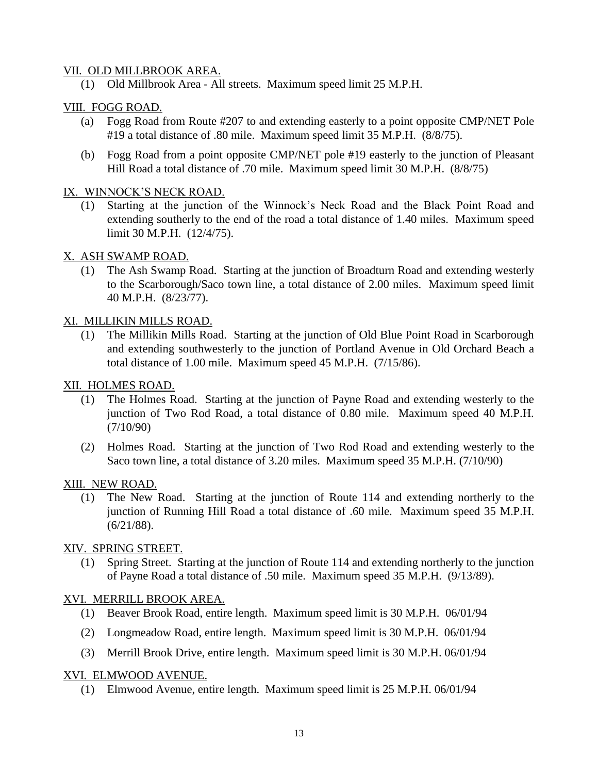#### <span id="page-17-0"></span>VII. OLD MILLBROOK AREA.

(1) Old Millbrook Area - All streets. Maximum speed limit 25 M.P.H.

## <span id="page-17-1"></span>VIII. FOGG ROAD.

- (a) Fogg Road from Route #207 to and extending easterly to a point opposite CMP/NET Pole #19 a total distance of .80 mile. Maximum speed limit 35 M.P.H. (8/8/75).
- (b) Fogg Road from a point opposite CMP/NET pole #19 easterly to the junction of Pleasant Hill Road a total distance of .70 mile. Maximum speed limit 30 M.P.H. (8/8/75)

#### <span id="page-17-2"></span>IX. WINNOCK'S NECK ROAD.

(1) Starting at the junction of the Winnock's Neck Road and the Black Point Road and extending southerly to the end of the road a total distance of 1.40 miles. Maximum speed limit 30 M.P.H. (12/4/75).

### <span id="page-17-3"></span>X. ASH SWAMP ROAD.

(1) The Ash Swamp Road. Starting at the junction of Broadturn Road and extending westerly to the Scarborough/Saco town line, a total distance of 2.00 miles. Maximum speed limit 40 M.P.H. (8/23/77).

### <span id="page-17-4"></span>XI. MILLIKIN MILLS ROAD.

(1) The Millikin Mills Road. Starting at the junction of Old Blue Point Road in Scarborough and extending southwesterly to the junction of Portland Avenue in Old Orchard Beach a total distance of 1.00 mile. Maximum speed 45 M.P.H. (7/15/86).

## <span id="page-17-5"></span>XII. HOLMES ROAD.

- (1) The Holmes Road. Starting at the junction of Payne Road and extending westerly to the junction of Two Rod Road, a total distance of 0.80 mile. Maximum speed 40 M.P.H. (7/10/90)
- (2) Holmes Road. Starting at the junction of Two Rod Road and extending westerly to the Saco town line, a total distance of 3.20 miles. Maximum speed 35 M.P.H. (7/10/90)

#### <span id="page-17-6"></span>XIII. NEW ROAD.

(1) The New Road. Starting at the junction of Route 114 and extending northerly to the junction of Running Hill Road a total distance of .60 mile. Maximum speed 35 M.P.H. (6/21/88).

## <span id="page-17-7"></span>XIV. SPRING STREET.

(1) Spring Street. Starting at the junction of Route 114 and extending northerly to the junction of Payne Road a total distance of .50 mile. Maximum speed 35 M.P.H. (9/13/89).

## <span id="page-17-8"></span>XVI. MERRILL BROOK AREA.

- (1) Beaver Brook Road, entire length. Maximum speed limit is 30 M.P.H. 06/01/94
- (2) Longmeadow Road, entire length. Maximum speed limit is 30 M.P.H. 06/01/94
- (3) Merrill Brook Drive, entire length. Maximum speed limit is 30 M.P.H. 06/01/94

#### <span id="page-17-9"></span>XVI. ELMWOOD AVENUE.

(1) Elmwood Avenue, entire length. Maximum speed limit is 25 M.P.H. 06/01/94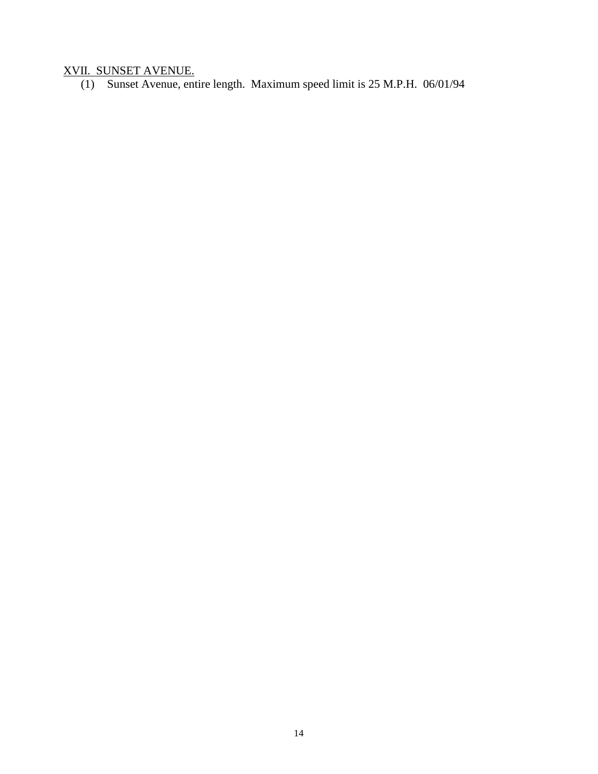#### <span id="page-18-0"></span>XVII. SUNSET AVENUE.

(1) Sunset Avenue, entire length. Maximum speed limit is 25 M.P.H. 06/01/94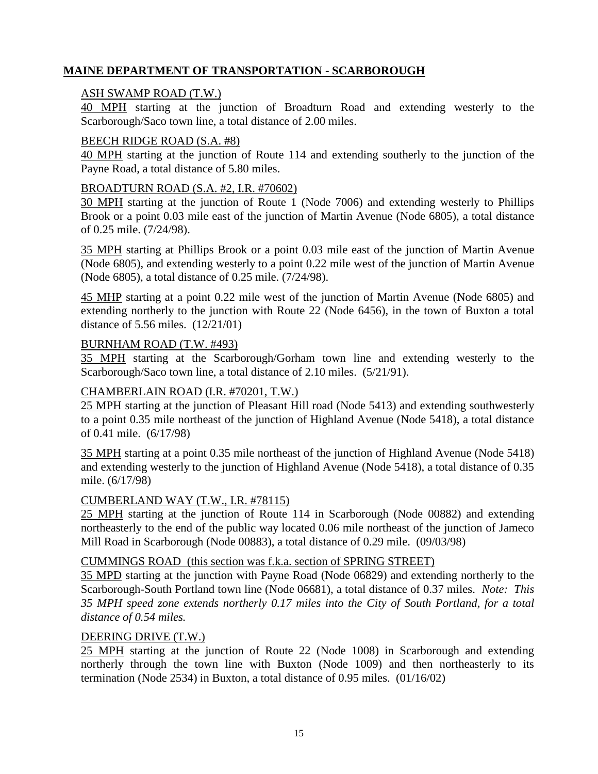## <span id="page-19-0"></span>**MAINE DEPARTMENT OF TRANSPORTATION - SCARBOROUGH**

#### <span id="page-19-1"></span>ASH SWAMP ROAD (T.W.)

40 MPH starting at the junction of Broadturn Road and extending westerly to the Scarborough/Saco town line, a total distance of 2.00 miles.

#### <span id="page-19-2"></span>BEECH RIDGE ROAD (S.A. #8)

40 MPH starting at the junction of Route 114 and extending southerly to the junction of the Payne Road, a total distance of 5.80 miles.

#### <span id="page-19-3"></span>BROADTURN ROAD (S.A. #2, I.R. #70602)

30 MPH starting at the junction of Route 1 (Node 7006) and extending westerly to Phillips Brook or a point 0.03 mile east of the junction of Martin Avenue (Node 6805), a total distance of 0.25 mile. (7/24/98).

35 MPH starting at Phillips Brook or a point 0.03 mile east of the junction of Martin Avenue (Node 6805), and extending westerly to a point 0.22 mile west of the junction of Martin Avenue (Node 6805), a total distance of 0.25 mile. (7/24/98).

45 MHP starting at a point 0.22 mile west of the junction of Martin Avenue (Node 6805) and extending northerly to the junction with Route 22 (Node 6456), in the town of Buxton a total distance of 5.56 miles. (12/21/01)

#### <span id="page-19-4"></span>BURNHAM ROAD (T.W. #493)

35 MPH starting at the Scarborough/Gorham town line and extending westerly to the Scarborough/Saco town line, a total distance of 2.10 miles. (5/21/91).

#### <span id="page-19-5"></span>CHAMBERLAIN ROAD (I.R. #70201, T.W.)

25 MPH starting at the junction of Pleasant Hill road (Node 5413) and extending southwesterly to a point 0.35 mile northeast of the junction of Highland Avenue (Node 5418), a total distance of 0.41 mile. (6/17/98)

35 MPH starting at a point 0.35 mile northeast of the junction of Highland Avenue (Node 5418) and extending westerly to the junction of Highland Avenue (Node 5418), a total distance of 0.35 mile. (6/17/98)

#### <span id="page-19-6"></span>CUMBERLAND WAY (T.W., I.R. #78115)

25 MPH starting at the junction of Route 114 in Scarborough (Node 00882) and extending northeasterly to the end of the public way located 0.06 mile northeast of the junction of Jameco Mill Road in Scarborough (Node 00883), a total distance of 0.29 mile. (09/03/98)

#### <span id="page-19-7"></span>CUMMINGS ROAD (this section was f.k.a. section of SPRING STREET)

35 MPD starting at the junction with Payne Road (Node 06829) and extending northerly to the Scarborough-South Portland town line (Node 06681), a total distance of 0.37 miles. *Note: This 35 MPH speed zone extends northerly 0.17 miles into the City of South Portland, for a total distance of 0.54 miles.*

#### <span id="page-19-8"></span>DEERING DRIVE (T.W.)

25 MPH starting at the junction of Route 22 (Node 1008) in Scarborough and extending northerly through the town line with Buxton (Node 1009) and then northeasterly to its termination (Node 2534) in Buxton, a total distance of 0.95 miles. (01/16/02)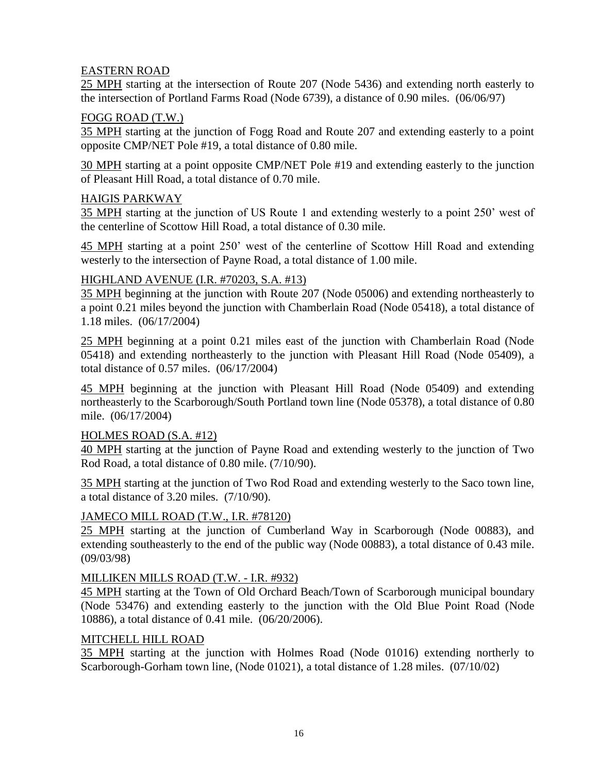## <span id="page-20-0"></span>EASTERN ROAD

25 MPH starting at the intersection of Route 207 (Node 5436) and extending north easterly to the intersection of Portland Farms Road (Node 6739), a distance of 0.90 miles. (06/06/97)

#### <span id="page-20-1"></span>FOGG ROAD (T.W.)

35 MPH starting at the junction of Fogg Road and Route 207 and extending easterly to a point opposite CMP/NET Pole #19, a total distance of 0.80 mile.

30 MPH starting at a point opposite CMP/NET Pole #19 and extending easterly to the junction of Pleasant Hill Road, a total distance of 0.70 mile.

### <span id="page-20-2"></span>HAIGIS PARKWAY

35 MPH starting at the junction of US Route 1 and extending westerly to a point 250' west of the centerline of Scottow Hill Road, a total distance of 0.30 mile.

45 MPH starting at a point 250' west of the centerline of Scottow Hill Road and extending westerly to the intersection of Payne Road, a total distance of 1.00 mile.

### <span id="page-20-3"></span>HIGHLAND AVENUE (I.R. #70203, S.A. #13)

35 MPH beginning at the junction with Route 207 (Node 05006) and extending northeasterly to a point 0.21 miles beyond the junction with Chamberlain Road (Node 05418), a total distance of 1.18 miles. (06/17/2004)

25 MPH beginning at a point 0.21 miles east of the junction with Chamberlain Road (Node 05418) and extending northeasterly to the junction with Pleasant Hill Road (Node 05409), a total distance of 0.57 miles. (06/17/2004)

45 MPH beginning at the junction with Pleasant Hill Road (Node 05409) and extending northeasterly to the Scarborough/South Portland town line (Node 05378), a total distance of 0.80 mile. (06/17/2004)

#### <span id="page-20-4"></span>HOLMES ROAD (S.A. #12)

40 MPH starting at the junction of Payne Road and extending westerly to the junction of Two Rod Road, a total distance of 0.80 mile. (7/10/90).

35 MPH starting at the junction of Two Rod Road and extending westerly to the Saco town line, a total distance of 3.20 miles. (7/10/90).

## <span id="page-20-5"></span>JAMECO MILL ROAD (T.W., I.R. #78120)

25 MPH starting at the junction of Cumberland Way in Scarborough (Node 00883), and extending southeasterly to the end of the public way (Node 00883), a total distance of 0.43 mile. (09/03/98)

#### <span id="page-20-6"></span>MILLIKEN MILLS ROAD (T.W. - I.R. #932)

45 MPH starting at the Town of Old Orchard Beach/Town of Scarborough municipal boundary (Node 53476) and extending easterly to the junction with the Old Blue Point Road (Node 10886), a total distance of 0.41 mile. (06/20/2006).

#### <span id="page-20-7"></span>MITCHELL HILL ROAD

35 MPH starting at the junction with Holmes Road (Node 01016) extending northerly to Scarborough-Gorham town line, (Node 01021), a total distance of 1.28 miles. (07/10/02)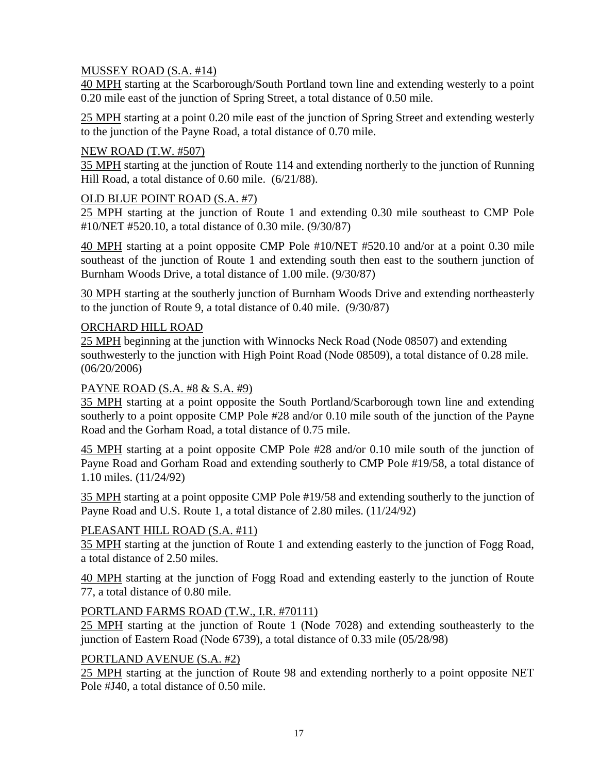## <span id="page-21-0"></span>MUSSEY ROAD (S.A. #14)

40 MPH starting at the Scarborough/South Portland town line and extending westerly to a point 0.20 mile east of the junction of Spring Street, a total distance of 0.50 mile.

25 MPH starting at a point 0.20 mile east of the junction of Spring Street and extending westerly to the junction of the Payne Road, a total distance of 0.70 mile.

## <span id="page-21-1"></span>NEW ROAD (T.W. #507)

35 MPH starting at the junction of Route 114 and extending northerly to the junction of Running Hill Road, a total distance of 0.60 mile. (6/21/88).

## <span id="page-21-2"></span>OLD BLUE POINT ROAD (S.A. #7)

25 MPH starting at the junction of Route 1 and extending 0.30 mile southeast to CMP Pole #10/NET #520.10, a total distance of 0.30 mile. (9/30/87)

40 MPH starting at a point opposite CMP Pole #10/NET #520.10 and/or at a point 0.30 mile southeast of the junction of Route 1 and extending south then east to the southern junction of Burnham Woods Drive, a total distance of 1.00 mile. (9/30/87)

30 MPH starting at the southerly junction of Burnham Woods Drive and extending northeasterly to the junction of Route 9, a total distance of 0.40 mile. (9/30/87)

### <span id="page-21-3"></span>ORCHARD HILL ROAD

25 MPH beginning at the junction with Winnocks Neck Road (Node 08507) and extending southwesterly to the junction with High Point Road (Node 08509), a total distance of 0.28 mile. (06/20/2006)

## <span id="page-21-4"></span>PAYNE ROAD (S.A. #8 & S.A. #9)

35 MPH starting at a point opposite the South Portland/Scarborough town line and extending southerly to a point opposite CMP Pole #28 and/or 0.10 mile south of the junction of the Payne Road and the Gorham Road, a total distance of 0.75 mile.

45 MPH starting at a point opposite CMP Pole #28 and/or 0.10 mile south of the junction of Payne Road and Gorham Road and extending southerly to CMP Pole #19/58, a total distance of 1.10 miles. (11/24/92)

35 MPH starting at a point opposite CMP Pole #19/58 and extending southerly to the junction of Payne Road and U.S. Route 1, a total distance of 2.80 miles. (11/24/92)

## <span id="page-21-5"></span>PLEASANT HILL ROAD (S.A. #11)

35 MPH starting at the junction of Route 1 and extending easterly to the junction of Fogg Road, a total distance of 2.50 miles.

40 MPH starting at the junction of Fogg Road and extending easterly to the junction of Route 77, a total distance of 0.80 mile.

## <span id="page-21-6"></span>PORTLAND FARMS ROAD (T.W., I.R. #70111)

25 MPH starting at the junction of Route 1 (Node 7028) and extending southeasterly to the junction of Eastern Road (Node 6739), a total distance of 0.33 mile (05/28/98)

#### <span id="page-21-7"></span>PORTLAND AVENUE (S.A. #2)

25 MPH starting at the junction of Route 98 and extending northerly to a point opposite NET Pole #J40, a total distance of 0.50 mile.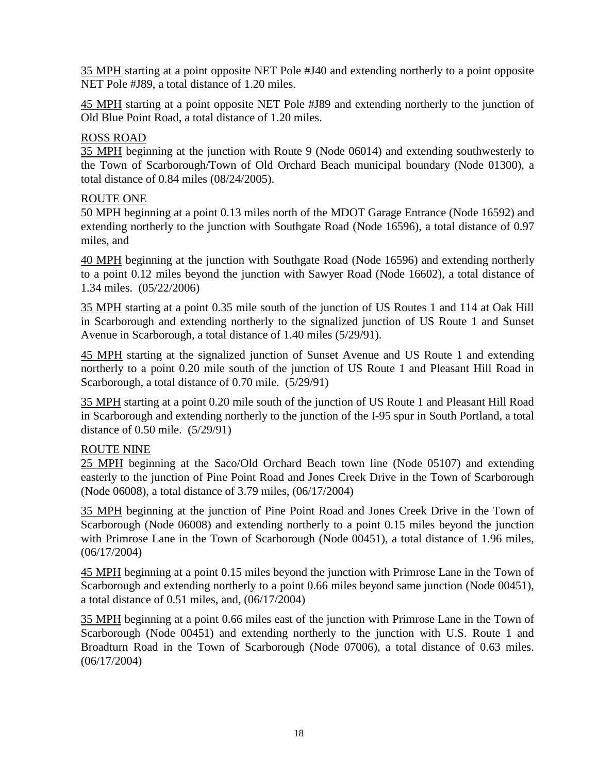35 MPH starting at a point opposite NET Pole #J40 and extending northerly to a point opposite NET Pole #J89, a total distance of 1.20 miles.

45 MPH starting at a point opposite NET Pole #J89 and extending northerly to the junction of Old Blue Point Road, a total distance of 1.20 miles.

## <span id="page-22-0"></span>ROSS ROAD

35 MPH beginning at the junction with Route 9 (Node 06014) and extending southwesterly to the Town of Scarborough/Town of Old Orchard Beach municipal boundary (Node 01300), a total distance of 0.84 miles (08/24/2005).

## <span id="page-22-1"></span>ROUTE ONE

50 MPH beginning at a point 0.13 miles north of the MDOT Garage Entrance (Node 16592) and extending northerly to the junction with Southgate Road (Node 16596), a total distance of 0.97 miles, and

40 MPH beginning at the junction with Southgate Road (Node 16596) and extending northerly to a point 0.12 miles beyond the junction with Sawyer Road (Node 16602), a total distance of 1.34 miles. (05/22/2006)

35 MPH starting at a point 0.35 mile south of the junction of US Routes 1 and 114 at Oak Hill in Scarborough and extending northerly to the signalized junction of US Route 1 and Sunset Avenue in Scarborough, a total distance of 1.40 miles (5/29/91).

45 MPH starting at the signalized junction of Sunset Avenue and US Route 1 and extending northerly to a point 0.20 mile south of the junction of US Route 1 and Pleasant Hill Road in Scarborough, a total distance of 0.70 mile. (5/29/91)

35 MPH starting at a point 0.20 mile south of the junction of US Route 1 and Pleasant Hill Road in Scarborough and extending northerly to the junction of the I-95 spur in South Portland, a total distance of 0.50 mile. (5/29/91)

## <span id="page-22-2"></span>ROUTE NINE

25 MPH beginning at the Saco/Old Orchard Beach town line (Node 05107) and extending easterly to the junction of Pine Point Road and Jones Creek Drive in the Town of Scarborough (Node 06008), a total distance of 3.79 miles, (06/17/2004)

35 MPH beginning at the junction of Pine Point Road and Jones Creek Drive in the Town of Scarborough (Node 06008) and extending northerly to a point 0.15 miles beyond the junction with Primrose Lane in the Town of Scarborough (Node 00451), a total distance of 1.96 miles, (06/17/2004)

45 MPH beginning at a point 0.15 miles beyond the junction with Primrose Lane in the Town of Scarborough and extending northerly to a point 0.66 miles beyond same junction (Node 00451), a total distance of 0.51 miles, and, (06/17/2004)

35 MPH beginning at a point 0.66 miles east of the junction with Primrose Lane in the Town of Scarborough (Node 00451) and extending northerly to the junction with U.S. Route 1 and Broadturn Road in the Town of Scarborough (Node 07006), a total distance of 0.63 miles. (06/17/2004)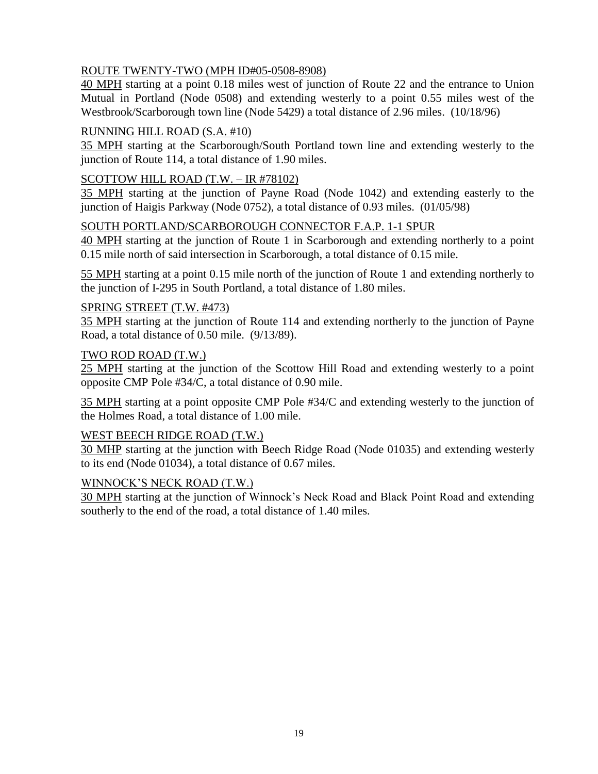## <span id="page-23-0"></span>ROUTE TWENTY-TWO (MPH ID#05-0508-8908)

40 MPH starting at a point 0.18 miles west of junction of Route 22 and the entrance to Union Mutual in Portland (Node 0508) and extending westerly to a point 0.55 miles west of the Westbrook/Scarborough town line (Node 5429) a total distance of 2.96 miles. (10/18/96)

## <span id="page-23-1"></span>RUNNING HILL ROAD (S.A. #10)

35 MPH starting at the Scarborough/South Portland town line and extending westerly to the junction of Route 114, a total distance of 1.90 miles.

## <span id="page-23-2"></span>SCOTTOW HILL ROAD (T.W. – IR #78102)

35 MPH starting at the junction of Payne Road (Node 1042) and extending easterly to the junction of Haigis Parkway (Node 0752), a total distance of 0.93 miles. (01/05/98)

## <span id="page-23-3"></span>SOUTH PORTLAND/SCARBOROUGH CONNECTOR F.A.P. 1-1 SPUR

40 MPH starting at the junction of Route 1 in Scarborough and extending northerly to a point 0.15 mile north of said intersection in Scarborough, a total distance of 0.15 mile.

55 MPH starting at a point 0.15 mile north of the junction of Route 1 and extending northerly to the junction of I-295 in South Portland, a total distance of 1.80 miles.

## <span id="page-23-4"></span>SPRING STREET (T.W. #473)

35 MPH starting at the junction of Route 114 and extending northerly to the junction of Payne Road, a total distance of 0.50 mile. (9/13/89).

## <span id="page-23-5"></span>TWO ROD ROAD (T.W.)

25 MPH starting at the junction of the Scottow Hill Road and extending westerly to a point opposite CMP Pole #34/C, a total distance of 0.90 mile.

35 MPH starting at a point opposite CMP Pole #34/C and extending westerly to the junction of the Holmes Road, a total distance of 1.00 mile.

## <span id="page-23-6"></span>WEST BEECH RIDGE ROAD (T.W.)

30 MHP starting at the junction with Beech Ridge Road (Node 01035) and extending westerly to its end (Node 01034), a total distance of 0.67 miles.

## <span id="page-23-7"></span>WINNOCK'S NECK ROAD (T.W.)

30 MPH starting at the junction of Winnock's Neck Road and Black Point Road and extending southerly to the end of the road, a total distance of 1.40 miles.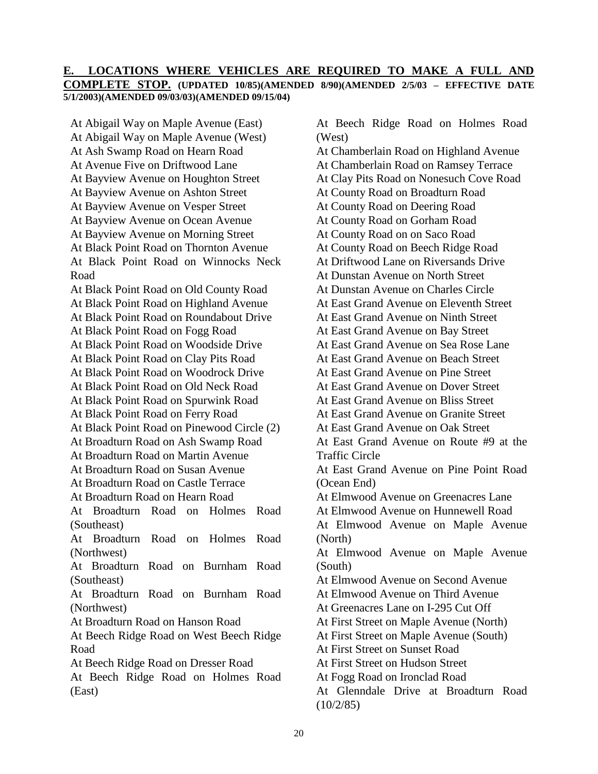#### <span id="page-24-0"></span>**E. LOCATIONS WHERE VEHICLES ARE REQUIRED TO MAKE A FULL AND COMPLETE STOP. (UPDATED 10/85)(AMENDED 8/90)(AMENDED 2/5/03 – EFFECTIVE DATE 5/1/2003)(AMENDED 09/03/03)(AMENDED 09/15/04)**

At Abigail Way on Maple Avenue (East) At Abigail Way on Maple Avenue (West) At Ash Swamp Road on Hearn Road At Avenue Five on Driftwood Lane At Bayview Avenue on Houghton Street At Bayview Avenue on Ashton Street At Bayview Avenue on Vesper Street At Bayview Avenue on Ocean Avenue At Bayview Avenue on Morning Street At Black Point Road on Thornton Avenue At Black Point Road on Winnocks Neck Road At Black Point Road on Old County Road At Black Point Road on Highland Avenue At Black Point Road on Roundabout Drive At Black Point Road on Fogg Road At Black Point Road on Woodside Drive At Black Point Road on Clay Pits Road At Black Point Road on Woodrock Drive At Black Point Road on Old Neck Road At Black Point Road on Spurwink Road At Black Point Road on Ferry Road At Black Point Road on Pinewood Circle (2) At Broadturn Road on Ash Swamp Road At Broadturn Road on Martin Avenue At Broadturn Road on Susan Avenue At Broadturn Road on Castle Terrace At Broadturn Road on Hearn Road At Broadturn Road on Holmes Road (Southeast) At Broadturn Road on Holmes Road (Northwest) At Broadturn Road on Burnham Road (Southeast) At Broadturn Road on Burnham Road (Northwest) At Broadturn Road on Hanson Road At Beech Ridge Road on West Beech Ridge Road At Beech Ridge Road on Dresser Road At Beech Ridge Road on Holmes Road (East)

(West) At Chamberlain Road on Highland Avenue At Chamberlain Road on Ramsey Terrace At Clay Pits Road on Nonesuch Cove Road At County Road on Broadturn Road At County Road on Deering Road At County Road on Gorham Road At County Road on on Saco Road At County Road on Beech Ridge Road At Driftwood Lane on Riversands Drive At Dunstan Avenue on North Street At Dunstan Avenue on Charles Circle At East Grand Avenue on Eleventh Street At East Grand Avenue on Ninth Street At East Grand Avenue on Bay Street At East Grand Avenue on Sea Rose Lane At East Grand Avenue on Beach Street At East Grand Avenue on Pine Street At East Grand Avenue on Dover Street At East Grand Avenue on Bliss Street At East Grand Avenue on Granite Street At East Grand Avenue on Oak Street At East Grand Avenue on Route #9 at the Traffic Circle At East Grand Avenue on Pine Point Road (Ocean End) At Elmwood Avenue on Greenacres Lane At Elmwood Avenue on Hunnewell Road At Elmwood Avenue on Maple Avenue (North) At Elmwood Avenue on Maple Avenue (South) At Elmwood Avenue on Second Avenue At Elmwood Avenue on Third Avenue At Greenacres Lane on I-295 Cut Off At First Street on Maple Avenue (North) At First Street on Maple Avenue (South) At First Street on Sunset Road At First Street on Hudson Street At Fogg Road on Ironclad Road At Glenndale Drive at Broadturn Road  $(10/2/85)$ 

At Beech Ridge Road on Holmes Road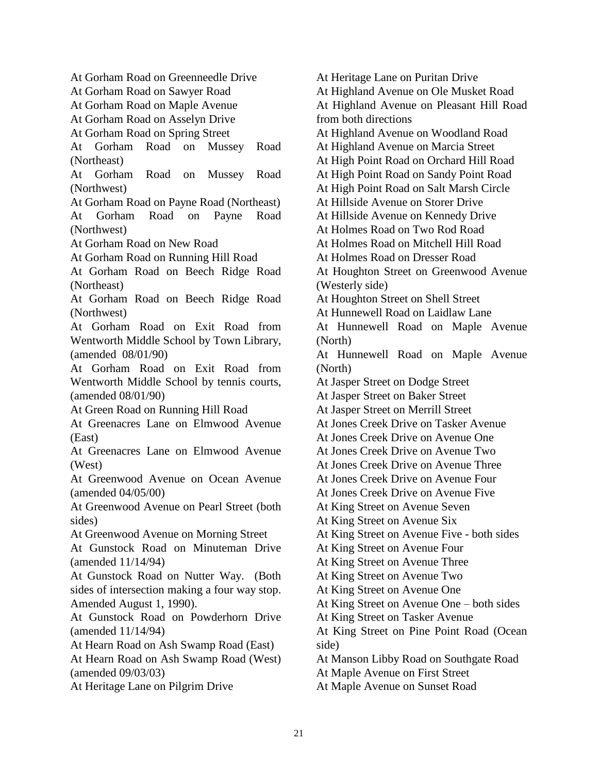At Gorham Road on Greenneedle Drive At Gorham Road on Sawyer Road At Gorham Road on Maple Avenue At Gorham Road on Asselyn Drive At Gorham Road on Spring Street At Gorham Road on Mussey Road (Northeast) At Gorham Road on Mussey Road (Northwest) At Gorham Road on Payne Road (Northeast) At Gorham Road on Payne Road (Northwest) At Gorham Road on New Road At Gorham Road on Running Hill Road At Gorham Road on Beech Ridge Road (Northeast) At Gorham Road on Beech Ridge Road (Northwest) At Gorham Road on Exit Road from Wentworth Middle School by Town Library, (amended 08/01/90) At Gorham Road on Exit Road from Wentworth Middle School by tennis courts, (amended 08/01/90) At Green Road on Running Hill Road At Greenacres Lane on Elmwood Avenue (East) At Greenacres Lane on Elmwood Avenue (West) At Greenwood Avenue on Ocean Avenue (amended 04/05/00) At Greenwood Avenue on Pearl Street (both sides) At Greenwood Avenue on Morning Street At Gunstock Road on Minuteman Drive (amended 11/14/94) At Gunstock Road on Nutter Way. (Both sides of intersection making a four way stop. Amended August 1, 1990). At Gunstock Road on Powderhorn Drive (amended 11/14/94) At Hearn Road on Ash Swamp Road (East) At Hearn Road on Ash Swamp Road (West) (amended 09/03/03) At Heritage Lane on Pilgrim Drive

At Heritage Lane on Puritan Drive At Highland Avenue on Ole Musket Road At Highland Avenue on Pleasant Hill Road from both directions At Highland Avenue on Woodland Road At Highland Avenue on Marcia Street At High Point Road on Orchard Hill Road At High Point Road on Sandy Point Road At High Point Road on Salt Marsh Circle At Hillside Avenue on Storer Drive At Hillside Avenue on Kennedy Drive At Holmes Road on Two Rod Road At Holmes Road on Mitchell Hill Road At Holmes Road on Dresser Road At Houghton Street on Greenwood Avenue (Westerly side) At Houghton Street on Shell Street At Hunnewell Road on Laidlaw Lane At Hunnewell Road on Maple Avenue (North) At Hunnewell Road on Maple Avenue (North) At Jasper Street on Dodge Street At Jasper Street on Baker Street At Jasper Street on Merrill Street At Jones Creek Drive on Tasker Avenue At Jones Creek Drive on Avenue One At Jones Creek Drive on Avenue Two At Jones Creek Drive on Avenue Three At Jones Creek Drive on Avenue Four At Jones Creek Drive on Avenue Five At King Street on Avenue Seven At King Street on Avenue Six At King Street on Avenue Five - both sides At King Street on Avenue Four At King Street on Avenue Three At King Street on Avenue Two At King Street on Avenue One At King Street on Avenue One – both sides At King Street on Tasker Avenue At King Street on Pine Point Road (Ocean side) At Manson Libby Road on Southgate Road At Maple Avenue on First Street At Maple Avenue on Sunset Road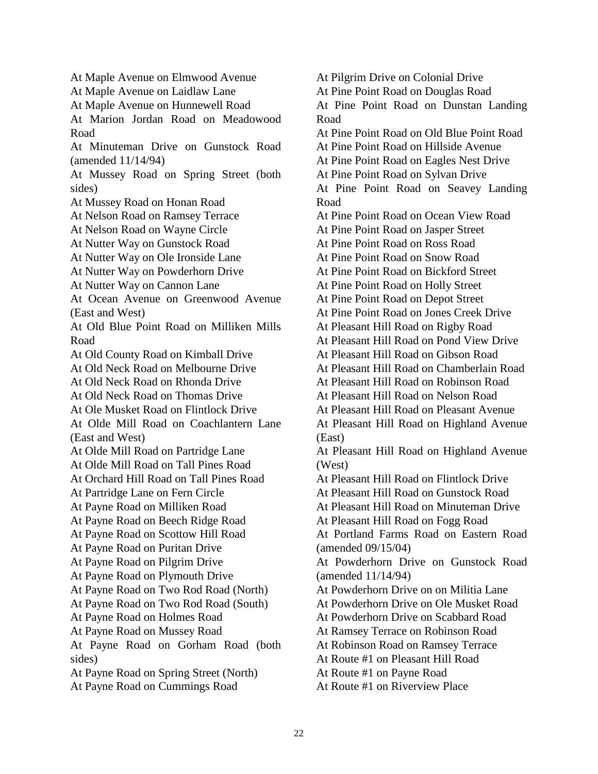At Maple Avenue on Elmwood Avenue At Maple Avenue on Laidlaw Lane At Maple Avenue on Hunnewell Road At Marion Jordan Road on Meadowood Road At Minuteman Drive on Gunstock Road (amended 11/14/94) At Mussey Road on Spring Street (both sides) At Mussey Road on Honan Road At Nelson Road on Ramsey Terrace At Nelson Road on Wayne Circle At Nutter Way on Gunstock Road At Nutter Way on Ole Ironside Lane At Nutter Way on Powderhorn Drive At Nutter Way on Cannon Lane At Ocean Avenue on Greenwood Avenue (East and West) At Old Blue Point Road on Milliken Mills Road At Old County Road on Kimball Drive At Old Neck Road on Melbourne Drive At Old Neck Road on Rhonda Drive At Old Neck Road on Thomas Drive At Ole Musket Road on Flintlock Drive At Olde Mill Road on Coachlantern Lane (East and West) At Olde Mill Road on Partridge Lane At Olde Mill Road on Tall Pines Road At Orchard Hill Road on Tall Pines Road At Partridge Lane on Fern Circle At Payne Road on Milliken Road At Payne Road on Beech Ridge Road At Payne Road on Scottow Hill Road At Payne Road on Puritan Drive At Payne Road on Pilgrim Drive At Payne Road on Plymouth Drive At Payne Road on Two Rod Road (North) At Payne Road on Two Rod Road (South) At Payne Road on Holmes Road At Payne Road on Mussey Road At Payne Road on Gorham Road (both sides) At Payne Road on Spring Street (North) At Payne Road on Cummings Road

At Pilgrim Drive on Colonial Drive At Pine Point Road on Douglas Road At Pine Point Road on Dunstan Landing Road At Pine Point Road on Old Blue Point Road At Pine Point Road on Hillside Avenue At Pine Point Road on Eagles Nest Drive At Pine Point Road on Sylvan Drive At Pine Point Road on Seavey Landing Road At Pine Point Road on Ocean View Road At Pine Point Road on Jasper Street At Pine Point Road on Ross Road At Pine Point Road on Snow Road At Pine Point Road on Bickford Street At Pine Point Road on Holly Street At Pine Point Road on Depot Street At Pine Point Road on Jones Creek Drive At Pleasant Hill Road on Rigby Road At Pleasant Hill Road on Pond View Drive At Pleasant Hill Road on Gibson Road At Pleasant Hill Road on Chamberlain Road At Pleasant Hill Road on Robinson Road At Pleasant Hill Road on Nelson Road At Pleasant Hill Road on Pleasant Avenue At Pleasant Hill Road on Highland Avenue (East) At Pleasant Hill Road on Highland Avenue (West) At Pleasant Hill Road on Flintlock Drive At Pleasant Hill Road on Gunstock Road At Pleasant Hill Road on Minuteman Drive At Pleasant Hill Road on Fogg Road At Portland Farms Road on Eastern Road (amended 09/15/04) At Powderhorn Drive on Gunstock Road (amended 11/14/94) At Powderhorn Drive on on Militia Lane At Powderhorn Drive on Ole Musket Road At Powderhorn Drive on Scabbard Road At Ramsey Terrace on Robinson Road At Robinson Road on Ramsey Terrace At Route #1 on Pleasant Hill Road At Route #1 on Payne Road At Route #1 on Riverview Place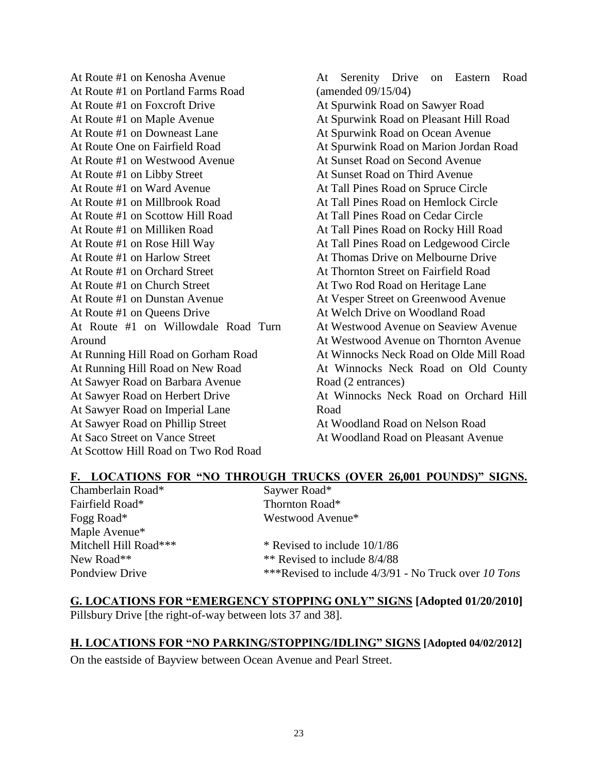At Route #1 on Kenosha Avenue At Route #1 on Portland Farms Road At Route #1 on Foxcroft Drive At Route #1 on Maple Avenue At Route #1 on Downeast Lane At Route One on Fairfield Road At Route #1 on Westwood Avenue At Route #1 on Libby Street At Route #1 on Ward Avenue At Route #1 on Millbrook Road At Route #1 on Scottow Hill Road At Route #1 on Milliken Road At Route #1 on Rose Hill Way At Route #1 on Harlow Street At Route #1 on Orchard Street At Route #1 on Church Street At Route #1 on Dunstan Avenue At Route #1 on Queens Drive At Route #1 on Willowdale Road Turn Around At Running Hill Road on Gorham Road At Running Hill Road on New Road At Sawyer Road on Barbara Avenue At Sawyer Road on Herbert Drive At Sawyer Road on Imperial Lane At Sawyer Road on Phillip Street At Saco Street on Vance Street At Scottow Hill Road on Two Rod Road

At Serenity Drive on Eastern Road (amended 09/15/04) At Spurwink Road on Sawyer Road At Spurwink Road on Pleasant Hill Road At Spurwink Road on Ocean Avenue At Spurwink Road on Marion Jordan Road At Sunset Road on Second Avenue At Sunset Road on Third Avenue At Tall Pines Road on Spruce Circle At Tall Pines Road on Hemlock Circle At Tall Pines Road on Cedar Circle At Tall Pines Road on Rocky Hill Road At Tall Pines Road on Ledgewood Circle At Thomas Drive on Melbourne Drive At Thornton Street on Fairfield Road At Two Rod Road on Heritage Lane At Vesper Street on Greenwood Avenue At Welch Drive on Woodland Road At Westwood Avenue on Seaview Avenue At Westwood Avenue on Thornton Avenue At Winnocks Neck Road on Olde Mill Road At Winnocks Neck Road on Old County Road (2 entrances) At Winnocks Neck Road on Orchard Hill Road At Woodland Road on Nelson Road At Woodland Road on Pleasant Avenue

#### <span id="page-27-0"></span>**F. LOCATIONS FOR "NO THROUGH TRUCKS (OVER 26,001 POUNDS)" SIGNS.** Chamberlain Road\* Fairfield Road\* Fogg Road\* Maple Avenue\* Mitchell Hill Road\*\*\* New Road\*\* Pondview Drive Saywer Road\* Thornton Road\* Westwood Avenue\* \* Revised to include 10/1/86 \*\* Revised to include 8/4/88 \*\*\*Revised to include 4/3/91 - No Truck over *10 Tons*

## <span id="page-27-1"></span>**G. LOCATIONS FOR "EMERGENCY STOPPING ONLY" SIGNS [Adopted 01/20/2010]** Pillsbury Drive [the right-of-way between lots 37 and 38].

## **H. LOCATIONS FOR "NO PARKING/STOPPING/IDLING" SIGNS [Adopted 04/02/2012]**

<span id="page-27-2"></span>On the eastside of Bayview between Ocean Avenue and Pearl Street.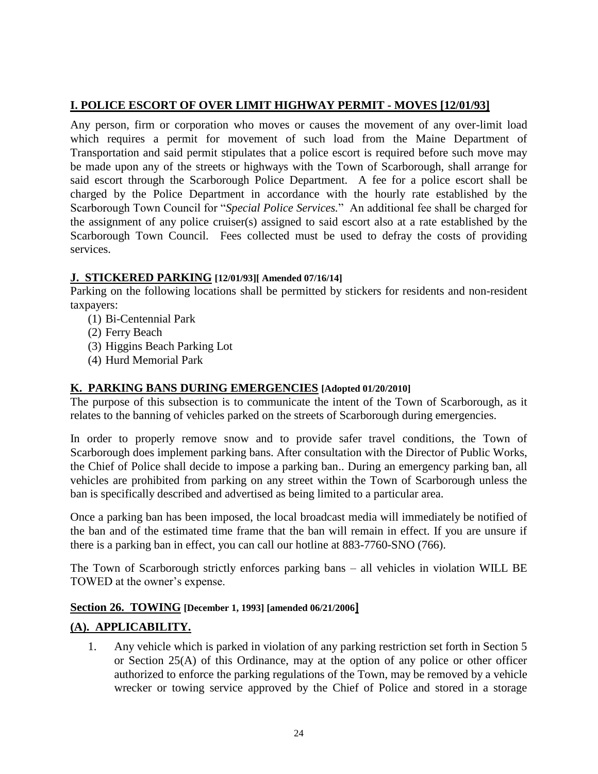## **I. POLICE ESCORT OF OVER LIMIT HIGHWAY PERMIT - MOVES [12/01/93]**

Any person, firm or corporation who moves or causes the movement of any over-limit load which requires a permit for movement of such load from the Maine Department of Transportation and said permit stipulates that a police escort is required before such move may be made upon any of the streets or highways with the Town of Scarborough, shall arrange for said escort through the Scarborough Police Department. A fee for a police escort shall be charged by the Police Department in accordance with the hourly rate established by the Scarborough Town Council for "*Special Police Services.*" An additional fee shall be charged for the assignment of any police cruiser(s) assigned to said escort also at a rate established by the Scarborough Town Council. Fees collected must be used to defray the costs of providing services.

### <span id="page-28-0"></span>**J. STICKERED PARKING [12/01/93][ Amended 07/16/14]**

Parking on the following locations shall be permitted by stickers for residents and non-resident taxpayers:

- (1) Bi-Centennial Park
- (2) Ferry Beach
- (3) Higgins Beach Parking Lot
- (4) Hurd Memorial Park

## <span id="page-28-1"></span>**K. PARKING BANS DURING EMERGENCIES [Adopted 01/20/2010]**

The purpose of this subsection is to communicate the intent of the Town of Scarborough, as it relates to the banning of vehicles parked on the streets of Scarborough during emergencies.

In order to properly remove snow and to provide safer travel conditions, the Town of Scarborough does implement parking bans. After consultation with the Director of Public Works, the Chief of Police shall decide to impose a parking ban.. During an emergency parking ban, all vehicles are prohibited from parking on any street within the Town of Scarborough unless the ban is specifically described and advertised as being limited to a particular area.

Once a parking ban has been imposed, the local broadcast media will immediately be notified of the ban and of the estimated time frame that the ban will remain in effect. If you are unsure if there is a parking ban in effect, you can call our hotline at 883-7760-SNO (766).

The Town of Scarborough strictly enforces parking bans – all vehicles in violation WILL BE TOWED at the owner's expense.

#### <span id="page-28-2"></span>**Section 26. TOWING [December 1, 1993] [amended 06/21/2006]**

## <span id="page-28-3"></span>**(A). APPLICABILITY.**

1. Any vehicle which is parked in violation of any parking restriction set forth in Section 5 or Section 25(A) of this Ordinance, may at the option of any police or other officer authorized to enforce the parking regulations of the Town, may be removed by a vehicle wrecker or towing service approved by the Chief of Police and stored in a storage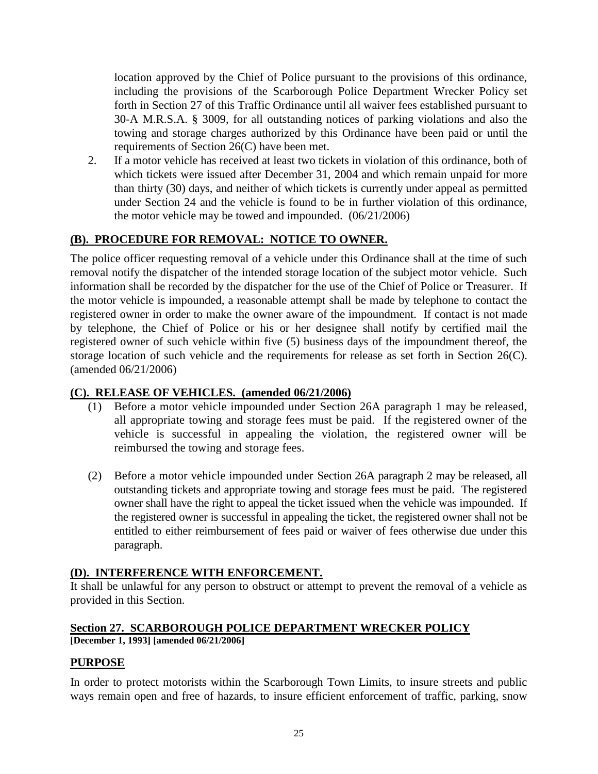location approved by the Chief of Police pursuant to the provisions of this ordinance, including the provisions of the Scarborough Police Department Wrecker Policy set forth in Section 27 of this Traffic Ordinance until all waiver fees established pursuant to 30-A M.R.S.A. § 3009, for all outstanding notices of parking violations and also the towing and storage charges authorized by this Ordinance have been paid or until the requirements of Section 26(C) have been met.

2. If a motor vehicle has received at least two tickets in violation of this ordinance, both of which tickets were issued after December 31, 2004 and which remain unpaid for more than thirty (30) days, and neither of which tickets is currently under appeal as permitted under Section 24 and the vehicle is found to be in further violation of this ordinance, the motor vehicle may be towed and impounded. (06/21/2006)

## <span id="page-29-0"></span>**(B). PROCEDURE FOR REMOVAL: NOTICE TO OWNER.**

The police officer requesting removal of a vehicle under this Ordinance shall at the time of such removal notify the dispatcher of the intended storage location of the subject motor vehicle. Such information shall be recorded by the dispatcher for the use of the Chief of Police or Treasurer. If the motor vehicle is impounded, a reasonable attempt shall be made by telephone to contact the registered owner in order to make the owner aware of the impoundment. If contact is not made by telephone, the Chief of Police or his or her designee shall notify by certified mail the registered owner of such vehicle within five (5) business days of the impoundment thereof, the storage location of such vehicle and the requirements for release as set forth in Section 26(C). (amended 06/21/2006)

#### <span id="page-29-1"></span>**(C). RELEASE OF VEHICLES. (amended 06/21/2006)**

- (1) Before a motor vehicle impounded under Section 26A paragraph 1 may be released, all appropriate towing and storage fees must be paid. If the registered owner of the vehicle is successful in appealing the violation, the registered owner will be reimbursed the towing and storage fees.
- (2) Before a motor vehicle impounded under Section 26A paragraph 2 may be released, all outstanding tickets and appropriate towing and storage fees must be paid. The registered owner shall have the right to appeal the ticket issued when the vehicle was impounded. If the registered owner is successful in appealing the ticket, the registered owner shall not be entitled to either reimbursement of fees paid or waiver of fees otherwise due under this paragraph.

## <span id="page-29-2"></span>**(D). INTERFERENCE WITH ENFORCEMENT.**

It shall be unlawful for any person to obstruct or attempt to prevent the removal of a vehicle as provided in this Section.

#### <span id="page-29-3"></span>**Section 27. SCARBOROUGH POLICE DEPARTMENT WRECKER POLICY [December 1, 1993] [amended 06/21/2006]**

#### <span id="page-29-4"></span>**PURPOSE**

In order to protect motorists within the Scarborough Town Limits, to insure streets and public ways remain open and free of hazards, to insure efficient enforcement of traffic, parking, snow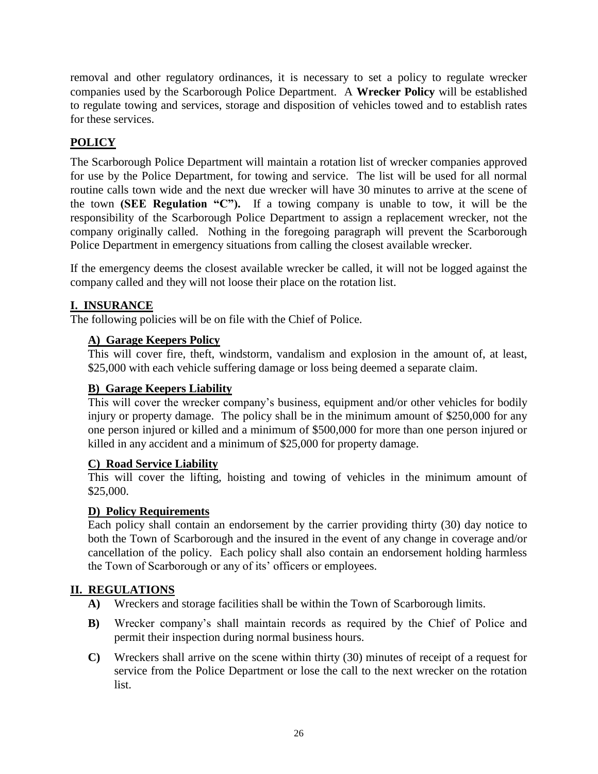removal and other regulatory ordinances, it is necessary to set a policy to regulate wrecker companies used by the Scarborough Police Department. A **Wrecker Policy** will be established to regulate towing and services, storage and disposition of vehicles towed and to establish rates for these services.

## <span id="page-30-0"></span>**POLICY**

The Scarborough Police Department will maintain a rotation list of wrecker companies approved for use by the Police Department, for towing and service. The list will be used for all normal routine calls town wide and the next due wrecker will have 30 minutes to arrive at the scene of the town **(SEE Regulation "C").** If a towing company is unable to tow, it will be the responsibility of the Scarborough Police Department to assign a replacement wrecker, not the company originally called. Nothing in the foregoing paragraph will prevent the Scarborough Police Department in emergency situations from calling the closest available wrecker.

If the emergency deems the closest available wrecker be called, it will not be logged against the company called and they will not loose their place on the rotation list.

## <span id="page-30-1"></span>**I. INSURANCE**

<span id="page-30-2"></span>The following policies will be on file with the Chief of Police.

## **A) Garage Keepers Policy**

This will cover fire, theft, windstorm, vandalism and explosion in the amount of, at least, \$25,000 with each vehicle suffering damage or loss being deemed a separate claim.

## <span id="page-30-3"></span>**B) Garage Keepers Liability**

This will cover the wrecker company's business, equipment and/or other vehicles for bodily injury or property damage. The policy shall be in the minimum amount of \$250,000 for any one person injured or killed and a minimum of \$500,000 for more than one person injured or killed in any accident and a minimum of \$25,000 for property damage.

## <span id="page-30-4"></span>**C) Road Service Liability**

This will cover the lifting, hoisting and towing of vehicles in the minimum amount of \$25,000.

## <span id="page-30-5"></span>**D) Policy Requirements**

Each policy shall contain an endorsement by the carrier providing thirty (30) day notice to both the Town of Scarborough and the insured in the event of any change in coverage and/or cancellation of the policy. Each policy shall also contain an endorsement holding harmless the Town of Scarborough or any of its' officers or employees.

## <span id="page-30-6"></span>**II. REGULATIONS**

- **A)** Wreckers and storage facilities shall be within the Town of Scarborough limits.
- **B)** Wrecker company's shall maintain records as required by the Chief of Police and permit their inspection during normal business hours.
- **C)** Wreckers shall arrive on the scene within thirty (30) minutes of receipt of a request for service from the Police Department or lose the call to the next wrecker on the rotation list.